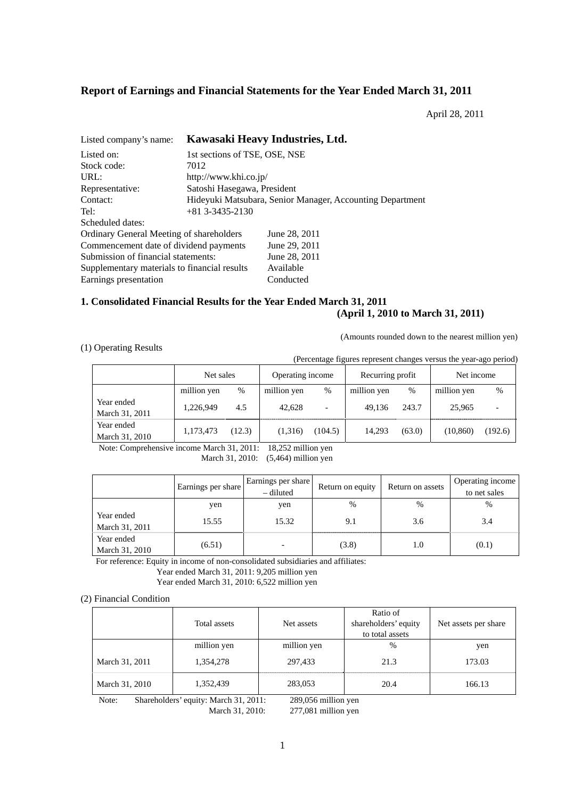# **Report of Earnings and Financial Statements for the Year Ended March 31, 2011**

April 28, 2011

| Listed company's name:                       | Kawasaki Heavy Industries, Ltd.                           |               |  |  |  |
|----------------------------------------------|-----------------------------------------------------------|---------------|--|--|--|
| Listed on:                                   | 1st sections of TSE, OSE, NSE                             |               |  |  |  |
| Stock code:                                  | 7012                                                      |               |  |  |  |
| URL:                                         | http://www.khi.co.jp/                                     |               |  |  |  |
| Representative:                              | Satoshi Hasegawa, President                               |               |  |  |  |
| Contact:                                     | Hideyuki Matsubara, Senior Manager, Accounting Department |               |  |  |  |
| Tel:                                         | $+81$ 3-3435-2130                                         |               |  |  |  |
| Scheduled dates:                             |                                                           |               |  |  |  |
| Ordinary General Meeting of shareholders     |                                                           | June 28, 2011 |  |  |  |
| Commencement date of dividend payments       |                                                           | June 29, 2011 |  |  |  |
| Submission of financial statements:          |                                                           | June 28, 2011 |  |  |  |
| Supplementary materials to financial results |                                                           | Available     |  |  |  |
| Earnings presentation                        |                                                           | Conducted     |  |  |  |

# **1. Consolidated Financial Results for the Year Ended March 31, 2011 (April 1, 2010 to March 31, 2011)**

(Amounts rounded down to the nearest million yen)

# (1) Operating Results

(Percentage figures represent changes versus the year-ago period)

|                              | Net sales   |        | Operating income |                          | Recurring profit |        | Net income  |         |
|------------------------------|-------------|--------|------------------|--------------------------|------------------|--------|-------------|---------|
|                              | million yen | %      | million yen      | $\%$                     | million yen      | $\%$   | million yen | %       |
| Year ended<br>March 31, 2011 | 1,226,949   | 4.5    | 42.628           | $\overline{\phantom{0}}$ | 49.136           | 243.7  | 25,965      |         |
| Year ended<br>March 31, 2010 | 1,173,473   | (12.3) | (1,316)          | (104.5)                  | 14.293           | (63.0) | (10, 860)   | (192.6) |

Note: Comprehensive income March 31, 2011: 18,252 million yen March 31, 2010: (5,464) million yen

|                              | Earnings per share | Earnings per share<br>- diluted | Return on equity | Return on assets | Operating income<br>to net sales |
|------------------------------|--------------------|---------------------------------|------------------|------------------|----------------------------------|
|                              | yen                | yen                             | $\%$             | $\%$             | $\%$                             |
| Year ended<br>March 31, 2011 | 15.55              | 15.32                           | 9.1              | 3.6              | 3.4                              |
| Year ended<br>March 31, 2010 | (6.51)             |                                 | (3.8)            | 1.0              | (0.1)                            |

For reference: Equity in income of non-consolidated subsidiaries and affiliates:

Year ended March 31, 2011: 9,205 million yen

Year ended March 31, 2010: 6,522 million yen

#### (2) Financial Condition

|                | Total assets | Net assets  | Ratio of<br>shareholders' equity<br>to total assets | Net assets per share |
|----------------|--------------|-------------|-----------------------------------------------------|----------------------|
|                | million yen  | million yen | %                                                   | yen                  |
| March 31, 2011 | 1,354,278    | 297.433     | 21.3                                                | 173.03               |
| March 31, 2010 | 1,352,439    | 283,053     | 20.4                                                | 166.13               |

Note: Shareholders' equity: March 31, 2011: 289,056 million yen March 31, 2010: 277,081 million yen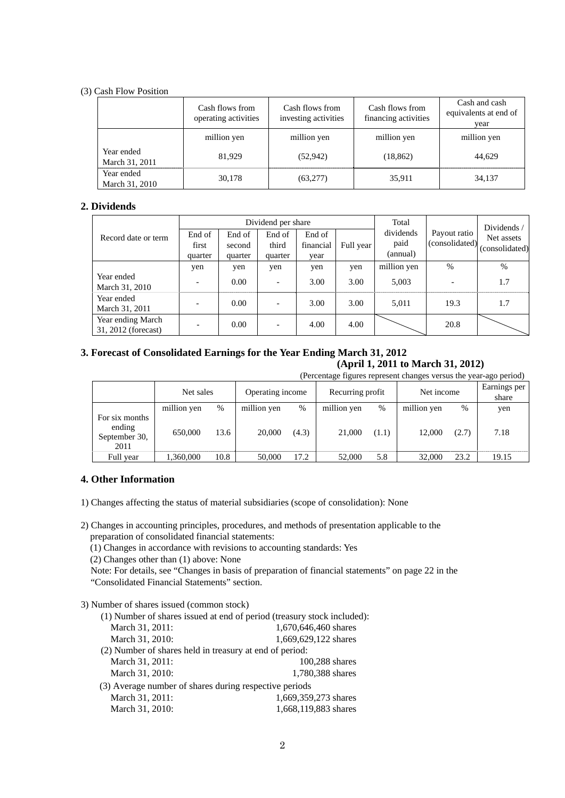# (3) Cash Flow Position

|                              | Cash flows from<br>operating activities | Cash flows from<br>investing activities | Cash flows from<br>financing activities | Cash and cash<br>equivalents at end of<br>year |
|------------------------------|-----------------------------------------|-----------------------------------------|-----------------------------------------|------------------------------------------------|
|                              | million yen                             | million yen                             | million yen                             | million yen                                    |
| Year ended<br>March 31, 2011 | 81.929                                  | (52, 942)                               | (18, 862)                               | 44,629                                         |
| Year ended<br>March 31, 2010 | 30,178                                  | (63, 277)                               | 35,911                                  | 34,137                                         |

# **2. Dividends**

|                                          |         |         | Dividend per share |           | Total     |             | Dividends /    |                |
|------------------------------------------|---------|---------|--------------------|-----------|-----------|-------------|----------------|----------------|
| Record date or term                      | End of  | End of  | End of             | End of    |           | dividends   | Payout ratio   | Net assets     |
|                                          | first   | second  | third              | financial | Full year | paid        | (consolidated) | (consolidated) |
|                                          | quarter | quarter | quarter            | vear      |           | (annual)    |                |                |
|                                          | yen     | yen     | yen                | yen       | yen       | million yen | $\%$           | $\%$           |
| Year ended<br>March 31, 2010             |         | 0.00    |                    | 3.00      | 3.00      | 5,003       |                | 1.7            |
| Year ended<br>March 31, 2011             |         | 0.00    |                    | 3.00      | 3.00      | 5,011       | 19.3           | 1.7            |
| Year ending March<br>31, 2012 (forecast) |         | 0.00    |                    | 4.00      | 4.00      |             | 20.8           |                |

# **3. Forecast of Consolidated Earnings for the Year Ending March 31, 2012**

**(April 1, 2011 to March 31, 2012)** 

|  |  | (Percentage figures represent changes versus the year-ago period) |  |  |
|--|--|-------------------------------------------------------------------|--|--|
|  |  |                                                                   |  |  |

|                                                   | Net sales   |      | Operating income |       | Recurring profit |       | Net income  |       | Earnings per<br>share |
|---------------------------------------------------|-------------|------|------------------|-------|------------------|-------|-------------|-------|-----------------------|
|                                                   | million yen | %    | million yen      | %     | million yen      | $\%$  | million yen | %     | yen                   |
| For six months<br>ending<br>September 30,<br>2011 | 650,000     | 13.6 | 20,000           | (4.3) | 21,000           | (1.1) | 12.000      | (2.7) | 7.18                  |
| Full year                                         | 1,360,000   | 10.8 | 50,000           | 17.2  | 52,000           | 5.8   | 32,000      | 23.2  | 19.15                 |

# **4. Other Information**

1) Changes affecting the status of material subsidiaries (scope of consolidation): None

2) Changes in accounting principles, procedures, and methods of presentation applicable to the preparation of consolidated financial statements:

(1) Changes in accordance with revisions to accounting standards: Yes

(2) Changes other than (1) above: None

Note: For details, see "Changes in basis of preparation of financial statements" on page 22 in the "Consolidated Financial Statements" section.

# 3) Number of shares issued (common stock)

|                                                         | (1) Number of shares issued at end of period (treasury stock included): |
|---------------------------------------------------------|-------------------------------------------------------------------------|
| March 31, 2011:                                         | 1,670,646,460 shares                                                    |
| March 31, 2010:                                         | 1,669,629,122 shares                                                    |
| (2) Number of shares held in treasury at end of period: |                                                                         |
| March 31, 2011:                                         | 100,288 shares                                                          |
| March 31, 2010:                                         | 1,780,388 shares                                                        |
| (3) Average number of shares during respective periods  |                                                                         |
| March 31, 2011:                                         | 1,669,359,273 shares                                                    |
| March 31, 2010:                                         | 1,668,119,883 shares                                                    |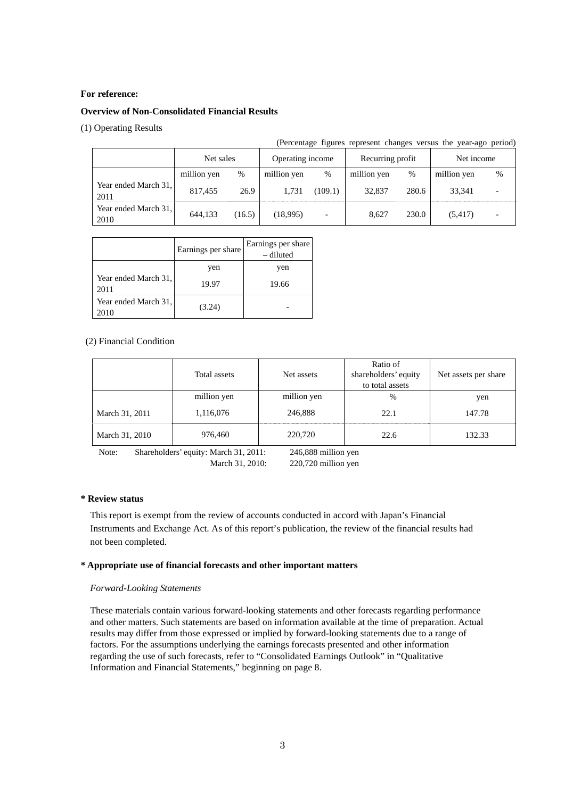# **For reference:**

# **Overview of Non-Consolidated Financial Results**

## (1) Operating Results

|                              |             |                               |             |                          |                  |       | (Percentage figures represent changes versus the year-ago period) |                          |
|------------------------------|-------------|-------------------------------|-------------|--------------------------|------------------|-------|-------------------------------------------------------------------|--------------------------|
|                              |             | Operating income<br>Net sales |             |                          | Recurring profit |       | Net income                                                        |                          |
|                              | million yen | %                             | million yen | $\%$                     | million yen      | $\%$  | million yen                                                       | %                        |
| Year ended March 31,<br>2011 | 817,455     | 26.9                          | 1,731       | (109.1)                  | 32,837           | 280.6 | 33.341                                                            |                          |
| Year ended March 31,<br>2010 | 644,133     | (16.5)                        | (18,995)    | $\overline{\phantom{0}}$ | 8.627            | 230.0 | (5,417)                                                           | $\overline{\phantom{0}}$ |

|                              | Earnings per share | Earnings per share<br>– diluted |
|------------------------------|--------------------|---------------------------------|
|                              | yen                | yen                             |
| Year ended March 31,<br>2011 | 19.97              | 19.66                           |
| Year ended March 31,<br>2010 | (3.24)             |                                 |

# (2) Financial Condition

|                | Total assets | Net assets  | Ratio of<br>shareholders' equity<br>to total assets | Net assets per share |
|----------------|--------------|-------------|-----------------------------------------------------|----------------------|
|                | million yen  | million yen | %                                                   | yen                  |
| March 31, 2011 | 1,116,076    | 246,888     | 22.1                                                | 147.78               |
| March 31, 2010 | 976,460      | 220,720     | 22.6                                                | 132.33               |

Note: Shareholders' equity: March 31, 2011: 246,888 million yen March 31, 2010: 220,720 million yen

#### **\* Review status**

This report is exempt from the review of accounts conducted in accord with Japan's Financial Instruments and Exchange Act. As of this report's publication, the review of the financial results had not been completed.

# **\* Appropriate use of financial forecasts and other important matters**

# *Forward-Looking Statements*

These materials contain various forward-looking statements and other forecasts regarding performance and other matters. Such statements are based on information available at the time of preparation. Actual results may differ from those expressed or implied by forward-looking statements due to a range of factors. For the assumptions underlying the earnings forecasts presented and other information regarding the use of such forecasts, refer to "Consolidated Earnings Outlook" in "Qualitative Information and Financial Statements," beginning on page 8.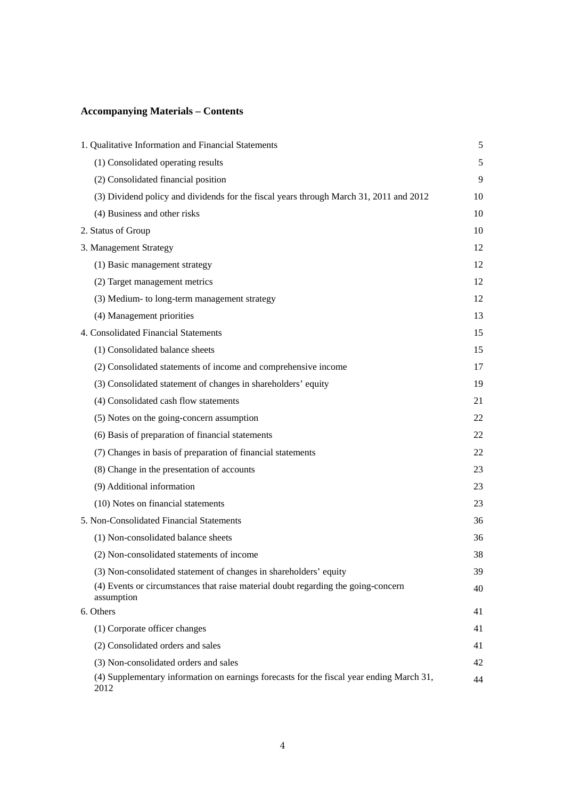# **Accompanying Materials – Contents**

| 1. Qualitative Information and Financial Statements                                              | $\mathfrak s$ |
|--------------------------------------------------------------------------------------------------|---------------|
| (1) Consolidated operating results                                                               | 5             |
| (2) Consolidated financial position                                                              | 9             |
| (3) Dividend policy and dividends for the fiscal years through March 31, 2011 and 2012           | 10            |
| (4) Business and other risks                                                                     | 10            |
| 2. Status of Group                                                                               | 10            |
| 3. Management Strategy                                                                           | 12            |
| (1) Basic management strategy                                                                    | 12            |
| (2) Target management metrics                                                                    | 12            |
| (3) Medium- to long-term management strategy                                                     | 12            |
| (4) Management priorities                                                                        | 13            |
| 4. Consolidated Financial Statements                                                             | 15            |
| (1) Consolidated balance sheets                                                                  | 15            |
| (2) Consolidated statements of income and comprehensive income                                   | 17            |
| (3) Consolidated statement of changes in shareholders' equity                                    | 19            |
| (4) Consolidated cash flow statements                                                            | 21            |
| (5) Notes on the going-concern assumption                                                        | 22            |
| (6) Basis of preparation of financial statements                                                 | 22            |
| (7) Changes in basis of preparation of financial statements                                      | 22            |
| (8) Change in the presentation of accounts                                                       | 23            |
| (9) Additional information                                                                       | 23            |
| (10) Notes on financial statements                                                               | 23            |
| 5. Non-Consolidated Financial Statements                                                         | 36            |
| (1) Non-consolidated balance sheets                                                              | 36            |
| (2) Non-consolidated statements of income                                                        | 38            |
| (3) Non-consolidated statement of changes in shareholders' equity                                | 39            |
| (4) Events or circumstances that raise material doubt regarding the going-concern<br>assumption  | 40            |
| 6. Others                                                                                        | 41            |
| (1) Corporate officer changes                                                                    | 41            |
| (2) Consolidated orders and sales                                                                | 41            |
| (3) Non-consolidated orders and sales                                                            | 42            |
| (4) Supplementary information on earnings forecasts for the fiscal year ending March 31,<br>2012 | 44            |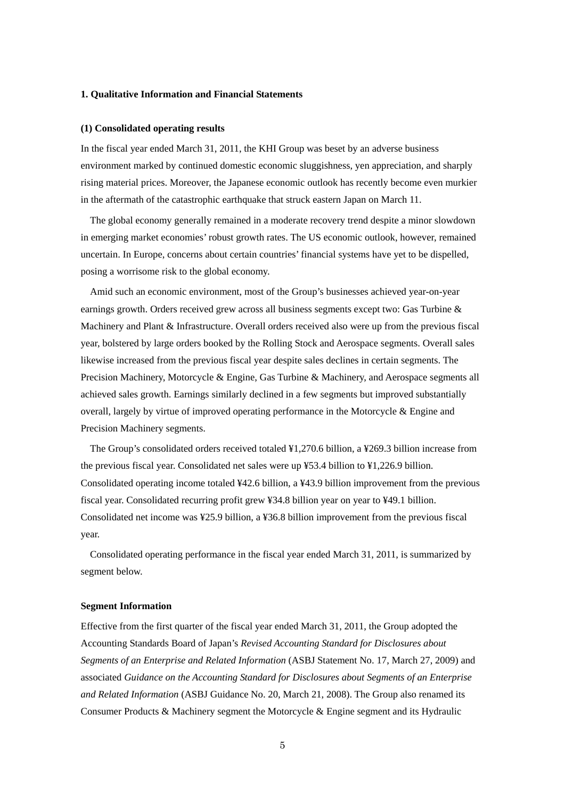# **1. Qualitative Information and Financial Statements**

#### **(1) Consolidated operating results**

In the fiscal year ended March 31, 2011, the KHI Group was beset by an adverse business environment marked by continued domestic economic sluggishness, yen appreciation, and sharply rising material prices. Moreover, the Japanese economic outlook has recently become even murkier in the aftermath of the catastrophic earthquake that struck eastern Japan on March 11.

The global economy generally remained in a moderate recovery trend despite a minor slowdown in emerging market economies' robust growth rates. The US economic outlook, however, remained uncertain. In Europe, concerns about certain countries' financial systems have yet to be dispelled, posing a worrisome risk to the global economy.

Amid such an economic environment, most of the Group's businesses achieved year-on-year earnings growth. Orders received grew across all business segments except two: Gas Turbine & Machinery and Plant & Infrastructure. Overall orders received also were up from the previous fiscal year, bolstered by large orders booked by the Rolling Stock and Aerospace segments. Overall sales likewise increased from the previous fiscal year despite sales declines in certain segments. The Precision Machinery, Motorcycle & Engine, Gas Turbine & Machinery, and Aerospace segments all achieved sales growth. Earnings similarly declined in a few segments but improved substantially overall, largely by virtue of improved operating performance in the Motorcycle & Engine and Precision Machinery segments.

The Group's consolidated orders received totaled ¥1,270.6 billion, a ¥269.3 billion increase from the previous fiscal year. Consolidated net sales were up ¥53.4 billion to ¥1,226.9 billion. Consolidated operating income totaled ¥42.6 billion, a ¥43.9 billion improvement from the previous fiscal year. Consolidated recurring profit grew ¥34.8 billion year on year to ¥49.1 billion. Consolidated net income was ¥25.9 billion, a ¥36.8 billion improvement from the previous fiscal year.

Consolidated operating performance in the fiscal year ended March 31, 2011, is summarized by segment below.

## **Segment Information**

Effective from the first quarter of the fiscal year ended March 31, 2011, the Group adopted the Accounting Standards Board of Japan's *Revised Accounting Standard for Disclosures about Segments of an Enterprise and Related Information* (ASBJ Statement No. 17, March 27, 2009) and associated *Guidance on the Accounting Standard for Disclosures about Segments of an Enterprise and Related Information* (ASBJ Guidance No. 20, March 21, 2008). The Group also renamed its Consumer Products & Machinery segment the Motorcycle & Engine segment and its Hydraulic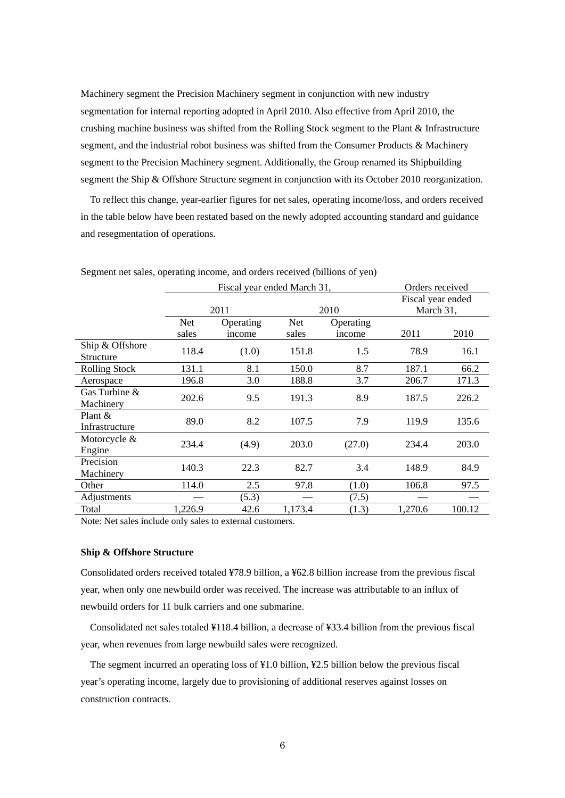Machinery segment the Precision Machinery segment in conjunction with new industry segmentation for internal reporting adopted in April 2010. Also effective from April 2010, the crushing machine business was shifted from the Rolling Stock segment to the Plant & Infrastructure segment, and the industrial robot business was shifted from the Consumer Products & Machinery segment to the Precision Machinery segment. Additionally, the Group renamed its Shipbuilding segment the Ship & Offshore Structure segment in conjunction with its October 2010 reorganization.

To reflect this change, year-earlier figures for net sales, operating income/loss, and orders received in the table below have been restated based on the newly adopted accounting standard and guidance and resegmentation of operations.

| Fiscal year ended March 31, |           |         |           |         |                                                   |
|-----------------------------|-----------|---------|-----------|---------|---------------------------------------------------|
|                             |           |         |           |         |                                                   |
| <b>Net</b>                  | Operating | Net     | Operating |         |                                                   |
| sales                       | income    | sales   | income    | 2011    | 2010                                              |
| 118.4                       | (1.0)     | 151.8   | 1.5       | 78.9    | 16.1                                              |
| 131.1                       | 8.1       | 150.0   | 8.7       | 187.1   | 66.2                                              |
| 196.8                       | 3.0       | 188.8   | 3.7       | 206.7   | 171.3                                             |
| 202.6                       | 9.5       | 191.3   | 8.9       | 187.5   | 226.2                                             |
| 89.0                        | 8.2       | 107.5   | 7.9       | 119.9   | 135.6                                             |
| 234.4                       | (4.9)     | 203.0   | (27.0)    | 234.4   | 203.0                                             |
| 140.3                       | 22.3      | 82.7    | 3.4       | 148.9   | 84.9                                              |
| 114.0                       | 2.5       | 97.8    | (1.0)     | 106.8   | 97.5                                              |
|                             | (5.3)     |         | (7.5)     |         |                                                   |
| 1,226.9                     | 42.6      | 1,173.4 | (1.3)     | 1,270.6 | 100.12                                            |
|                             |           | 2011    |           | 2010    | Orders received<br>Fiscal year ended<br>March 31, |

Segment net sales, operating income, and orders received (billions of yen)

Note: Net sales include only sales to external customers.

#### **Ship & Offshore Structure**

Consolidated orders received totaled ¥78.9 billion, a ¥62.8 billion increase from the previous fiscal year, when only one newbuild order was received. The increase was attributable to an influx of newbuild orders for 11 bulk carriers and one submarine.

Consolidated net sales totaled ¥118.4 billion, a decrease of ¥33.4 billion from the previous fiscal year, when revenues from large newbuild sales were recognized.

The segment incurred an operating loss of ¥1.0 billion, ¥2.5 billion below the previous fiscal year's operating income, largely due to provisioning of additional reserves against losses on construction contracts.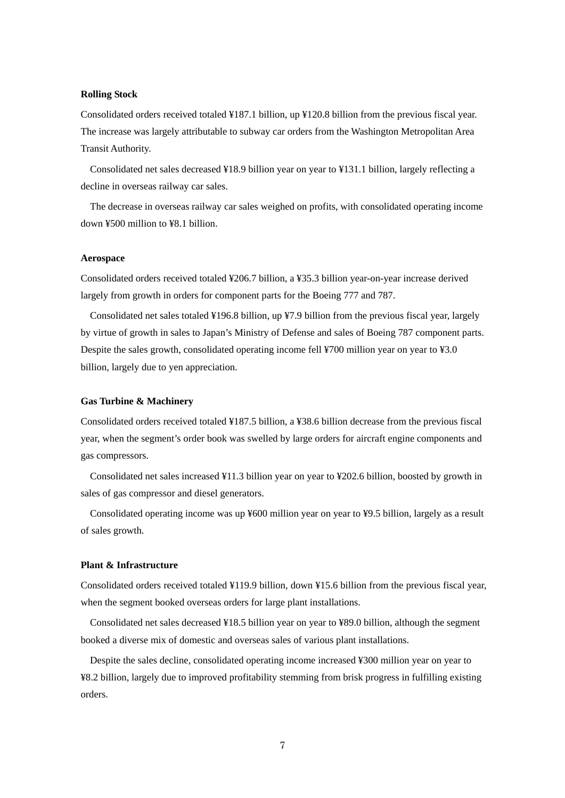# **Rolling Stock**

Consolidated orders received totaled ¥187.1 billion, up ¥120.8 billion from the previous fiscal year. The increase was largely attributable to subway car orders from the Washington Metropolitan Area Transit Authority.

Consolidated net sales decreased ¥18.9 billion year on year to ¥131.1 billion, largely reflecting a decline in overseas railway car sales.

The decrease in overseas railway car sales weighed on profits, with consolidated operating income down ¥500 million to ¥8.1 billion.

# **Aerospace**

Consolidated orders received totaled ¥206.7 billion, a ¥35.3 billion year-on-year increase derived largely from growth in orders for component parts for the Boeing 777 and 787.

Consolidated net sales totaled ¥196.8 billion, up ¥7.9 billion from the previous fiscal year, largely by virtue of growth in sales to Japan's Ministry of Defense and sales of Boeing 787 component parts. Despite the sales growth, consolidated operating income fell ¥700 million year on year to ¥3.0 billion, largely due to yen appreciation.

## **Gas Turbine & Machinery**

Consolidated orders received totaled ¥187.5 billion, a ¥38.6 billion decrease from the previous fiscal year, when the segment's order book was swelled by large orders for aircraft engine components and gas compressors.

Consolidated net sales increased ¥11.3 billion year on year to ¥202.6 billion, boosted by growth in sales of gas compressor and diesel generators.

Consolidated operating income was up ¥600 million year on year to ¥9.5 billion, largely as a result of sales growth.

# **Plant & Infrastructure**

Consolidated orders received totaled ¥119.9 billion, down ¥15.6 billion from the previous fiscal year, when the segment booked overseas orders for large plant installations.

Consolidated net sales decreased ¥18.5 billion year on year to ¥89.0 billion, although the segment booked a diverse mix of domestic and overseas sales of various plant installations.

Despite the sales decline, consolidated operating income increased ¥300 million year on year to ¥8.2 billion, largely due to improved profitability stemming from brisk progress in fulfilling existing orders.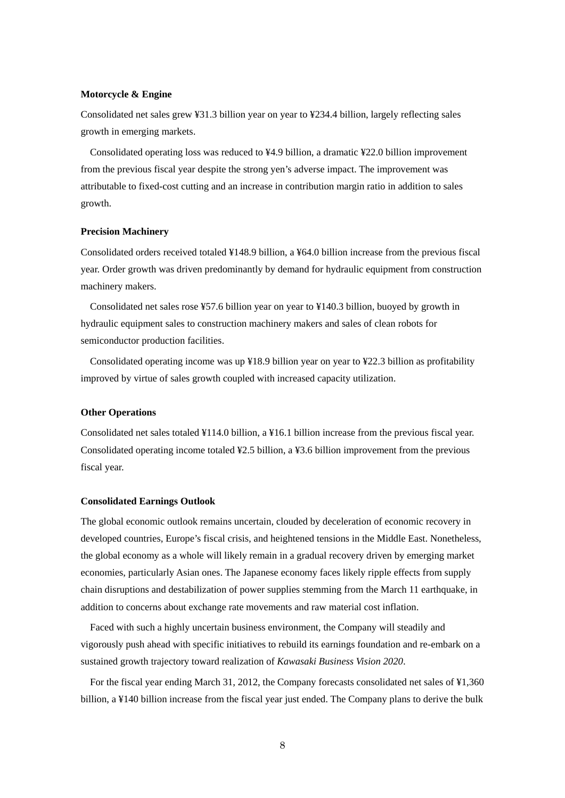## **Motorcycle & Engine**

Consolidated net sales grew ¥31.3 billion year on year to ¥234.4 billion, largely reflecting sales growth in emerging markets.

Consolidated operating loss was reduced to ¥4.9 billion, a dramatic ¥22.0 billion improvement from the previous fiscal year despite the strong yen's adverse impact. The improvement was attributable to fixed-cost cutting and an increase in contribution margin ratio in addition to sales growth.

# **Precision Machinery**

Consolidated orders received totaled ¥148.9 billion, a ¥64.0 billion increase from the previous fiscal year. Order growth was driven predominantly by demand for hydraulic equipment from construction machinery makers.

Consolidated net sales rose ¥57.6 billion year on year to ¥140.3 billion, buoyed by growth in hydraulic equipment sales to construction machinery makers and sales of clean robots for semiconductor production facilities.

Consolidated operating income was up ¥18.9 billion year on year to ¥22.3 billion as profitability improved by virtue of sales growth coupled with increased capacity utilization.

## **Other Operations**

Consolidated net sales totaled ¥114.0 billion, a ¥16.1 billion increase from the previous fiscal year. Consolidated operating income totaled ¥2.5 billion, a ¥3.6 billion improvement from the previous fiscal year.

#### **Consolidated Earnings Outlook**

The global economic outlook remains uncertain, clouded by deceleration of economic recovery in developed countries, Europe's fiscal crisis, and heightened tensions in the Middle East. Nonetheless, the global economy as a whole will likely remain in a gradual recovery driven by emerging market economies, particularly Asian ones. The Japanese economy faces likely ripple effects from supply chain disruptions and destabilization of power supplies stemming from the March 11 earthquake, in addition to concerns about exchange rate movements and raw material cost inflation.

Faced with such a highly uncertain business environment, the Company will steadily and vigorously push ahead with specific initiatives to rebuild its earnings foundation and re-embark on a sustained growth trajectory toward realization of *Kawasaki Business Vision 2020*.

For the fiscal year ending March 31, 2012, the Company forecasts consolidated net sales of ¥1,360 billion, a ¥140 billion increase from the fiscal year just ended. The Company plans to derive the bulk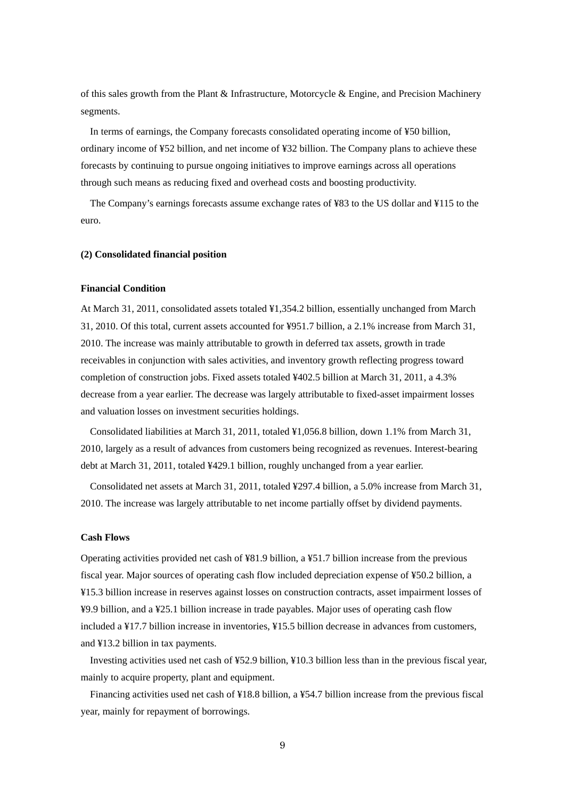of this sales growth from the Plant & Infrastructure, Motorcycle & Engine, and Precision Machinery segments.

In terms of earnings, the Company forecasts consolidated operating income of ¥50 billion, ordinary income of ¥52 billion, and net income of ¥32 billion. The Company plans to achieve these forecasts by continuing to pursue ongoing initiatives to improve earnings across all operations through such means as reducing fixed and overhead costs and boosting productivity.

The Company's earnings forecasts assume exchange rates of ¥83 to the US dollar and ¥115 to the euro.

#### **(2) Consolidated financial position**

# **Financial Condition**

At March 31, 2011, consolidated assets totaled ¥1,354.2 billion, essentially unchanged from March 31, 2010. Of this total, current assets accounted for ¥951.7 billion, a 2.1% increase from March 31, 2010. The increase was mainly attributable to growth in deferred tax assets, growth in trade receivables in conjunction with sales activities, and inventory growth reflecting progress toward completion of construction jobs. Fixed assets totaled ¥402.5 billion at March 31, 2011, a 4.3% decrease from a year earlier. The decrease was largely attributable to fixed-asset impairment losses and valuation losses on investment securities holdings.

Consolidated liabilities at March 31, 2011, totaled ¥1,056.8 billion, down 1.1% from March 31, 2010, largely as a result of advances from customers being recognized as revenues. Interest-bearing debt at March 31, 2011, totaled ¥429.1 billion, roughly unchanged from a year earlier.

Consolidated net assets at March 31, 2011, totaled ¥297.4 billion, a 5.0% increase from March 31, 2010. The increase was largely attributable to net income partially offset by dividend payments.

## **Cash Flows**

Operating activities provided net cash of ¥81.9 billion, a ¥51.7 billion increase from the previous fiscal year. Major sources of operating cash flow included depreciation expense of ¥50.2 billion, a ¥15.3 billion increase in reserves against losses on construction contracts, asset impairment losses of ¥9.9 billion, and a ¥25.1 billion increase in trade payables. Major uses of operating cash flow included a ¥17.7 billion increase in inventories, ¥15.5 billion decrease in advances from customers, and ¥13.2 billion in tax payments.

Investing activities used net cash of ¥52.9 billion, ¥10.3 billion less than in the previous fiscal year, mainly to acquire property, plant and equipment.

Financing activities used net cash of ¥18.8 billion, a ¥54.7 billion increase from the previous fiscal year, mainly for repayment of borrowings.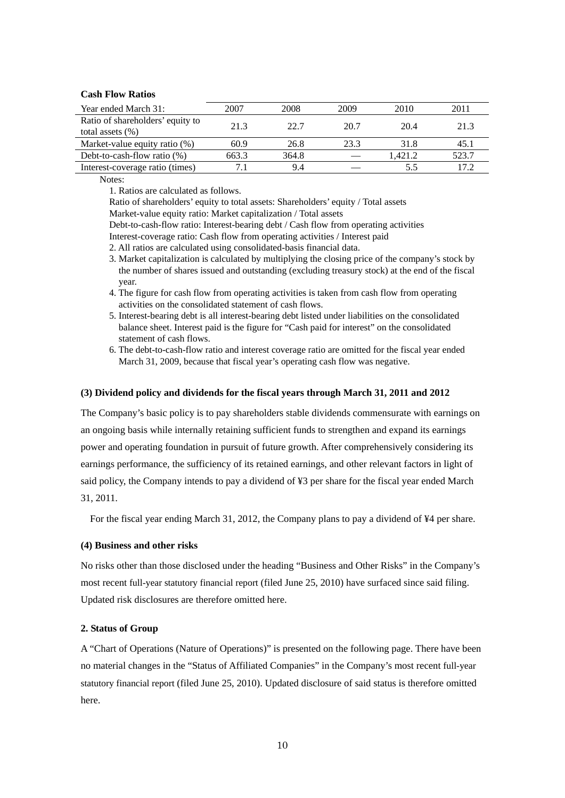# **Cash Flow Ratios**

| Year ended March 31:             | 2007  | 2008  | 2009 | 2010    | 2011  |
|----------------------------------|-------|-------|------|---------|-------|
| Ratio of shareholders' equity to | 21.3  | 22.7  | 20.7 | 20.4    | 21.3  |
| total assets $(\% )$             |       |       |      |         |       |
| Market-value equity ratio (%)    | 60.9  | 26.8  | 23.3 | 31.8    | 45.1  |
| Debt-to-cash-flow ratio $(\%)$   | 663.3 | 364.8 |      | 1.421.2 | 523.7 |
| Interest-coverage ratio (times)  |       | 9.4   |      | 5.5     | 17.2  |

Notes:

1. Ratios are calculated as follows.

Ratio of shareholders' equity to total assets: Shareholders' equity / Total assets

Market-value equity ratio: Market capitalization / Total assets

Debt-to-cash-flow ratio: Interest-bearing debt / Cash flow from operating activities

- Interest-coverage ratio: Cash flow from operating activities / Interest paid
- 2. All ratios are calculated using consolidated-basis financial data.
- 3. Market capitalization is calculated by multiplying the closing price of the company's stock by the number of shares issued and outstanding (excluding treasury stock) at the end of the fiscal year.
- 4. The figure for cash flow from operating activities is taken from cash flow from operating activities on the consolidated statement of cash flows.
- 5. Interest-bearing debt is all interest-bearing debt listed under liabilities on the consolidated balance sheet. Interest paid is the figure for "Cash paid for interest" on the consolidated statement of cash flows.
- 6. The debt-to-cash-flow ratio and interest coverage ratio are omitted for the fiscal year ended March 31, 2009, because that fiscal year's operating cash flow was negative.

### **(3) Dividend policy and dividends for the fiscal years through March 31, 2011 and 2012**

The Company's basic policy is to pay shareholders stable dividends commensurate with earnings on an ongoing basis while internally retaining sufficient funds to strengthen and expand its earnings power and operating foundation in pursuit of future growth. After comprehensively considering its earnings performance, the sufficiency of its retained earnings, and other relevant factors in light of said policy, the Company intends to pay a dividend of ¥3 per share for the fiscal year ended March 31, 2011.

For the fiscal year ending March 31, 2012, the Company plans to pay a dividend of ¥4 per share.

#### **(4) Business and other risks**

No risks other than those disclosed under the heading "Business and Other Risks" in the Company's most recent full-year statutory financial report (filed June 25, 2010) have surfaced since said filing. Updated risk disclosures are therefore omitted here.

# **2. Status of Group**

A "Chart of Operations (Nature of Operations)" is presented on the following page. There have been no material changes in the "Status of Affiliated Companies" in the Company's most recent full-year statutory financial report (filed June 25, 2010). Updated disclosure of said status is therefore omitted here.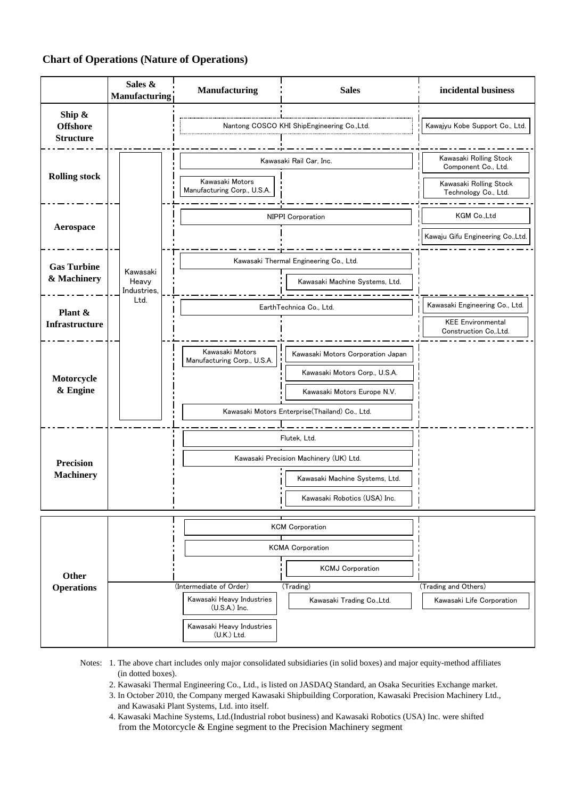# **Chart of Operations (Nature of Operations)**

|                                               | Sales &<br><b>Manufacturing</b>  | Manufacturing                                                                                                       | <b>Sales</b>                                                                                                                                        | incidental business                                                                             |
|-----------------------------------------------|----------------------------------|---------------------------------------------------------------------------------------------------------------------|-----------------------------------------------------------------------------------------------------------------------------------------------------|-------------------------------------------------------------------------------------------------|
| Ship &<br><b>Offshore</b><br><b>Structure</b> |                                  |                                                                                                                     | Nantong COSCO KHI ShipEngineering Co., Ltd.                                                                                                         | Kawajyu Kobe Support Co., Ltd.                                                                  |
| <b>Rolling stock</b>                          |                                  | Kawasaki Motors<br>Manufacturing Corp., U.S.A.                                                                      | Kawasaki Rail Car, Inc.                                                                                                                             | Kawasaki Rolling Stock<br>Component Co., Ltd.<br>Kawasaki Rolling Stock<br>Technology Co., Ltd. |
| Aerospace                                     |                                  |                                                                                                                     | NIPPI Corporation                                                                                                                                   | KGM Co.,Ltd<br>Kawaju Gifu Engineering Co., Ltd.                                                |
| <b>Gas Turbine</b><br>& Machinery             | Kawasaki<br>Heavy<br>Industries. |                                                                                                                     | Kawasaki Thermal Engineering Co., Ltd.<br>Kawasaki Machine Systems, Ltd.                                                                            |                                                                                                 |
| Plant &<br><b>Infrastructure</b>              | Ltd.                             |                                                                                                                     | EarthTechnica Co., Ltd.                                                                                                                             | Kawasaki Engineering Co., Ltd.<br><b>KEE Environmental</b><br>Construction CoLtd.               |
| Motorcycle<br>& Engine                        |                                  | Kawasaki Motors<br>Manufacturing Corp., U.S.A.                                                                      | Kawasaki Motors Corporation Japan<br>Kawasaki Motors Corp., U.S.A.<br>Kawasaki Motors Europe N.V.<br>Kawasaki Motors Enterprise(Thailand) Co., Ltd. |                                                                                                 |
| <b>Precision</b><br><b>Machinery</b>          |                                  |                                                                                                                     | Flutek, Ltd.<br>Kawasaki Precision Machinery (UK) Ltd.<br>Kawasaki Machine Systems, Ltd.<br>Kawasaki Robotics (USA) Inc.                            |                                                                                                 |
| Other<br><b>Operations</b>                    |                                  | (Intermediate of Order)<br>Kawasaki Heavy Industries<br>$(U.S.A.)$ Inc.<br>Kawasaki Heavy Industries<br>(U.K.) Ltd. | <b>KCM Corporation</b><br><b>KCMA Corporation</b><br><b>KCMJ Corporation</b><br>(Trading)<br>Kawasaki Trading Co., Ltd.                             | (Trading and Others)<br>Kawasaki Life Corporation                                               |

Notes: 1. The above chart includes only major consolidated subsidiaries (in solid boxes) and major equity-method affiliates (in dotted boxes).

2. Kawasaki Thermal Engineering Co., Ltd., is listed on JASDAQ Standard, an Osaka Securities Exchange market.

3. In October 2010, the Company merged Kawasaki Shipbuilding Corporation, Kawasaki Precision Machinery Ltd., and Kawasaki Plant Systems, Ltd. into itself.

4. Kawasaki Machine Systems, Ltd.(Industrial robot business) and Kawasaki Robotics (USA) Inc. were shifted from the Motorcycle & Engine segment to the Precision Machinery segment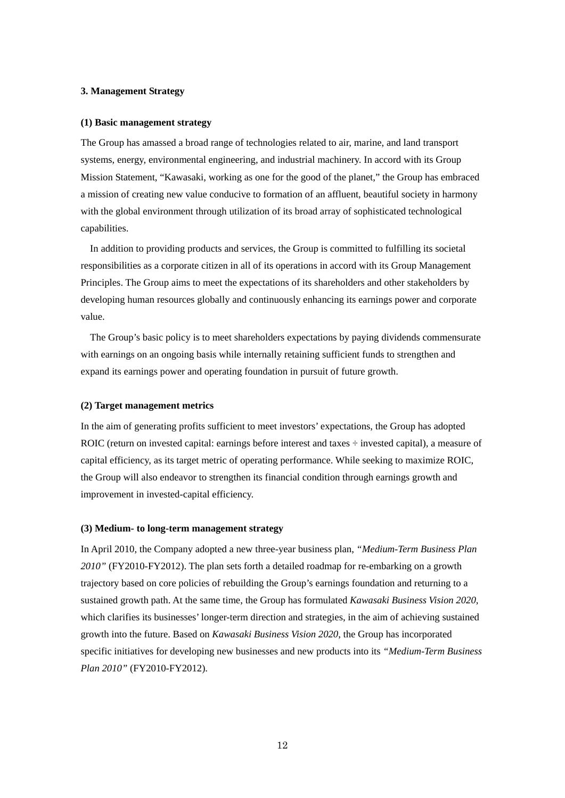# **3. Management Strategy**

### **(1) Basic management strategy**

The Group has amassed a broad range of technologies related to air, marine, and land transport systems, energy, environmental engineering, and industrial machinery. In accord with its Group Mission Statement, "Kawasaki, working as one for the good of the planet," the Group has embraced a mission of creating new value conducive to formation of an affluent, beautiful society in harmony with the global environment through utilization of its broad array of sophisticated technological capabilities.

In addition to providing products and services, the Group is committed to fulfilling its societal responsibilities as a corporate citizen in all of its operations in accord with its Group Management Principles. The Group aims to meet the expectations of its shareholders and other stakeholders by developing human resources globally and continuously enhancing its earnings power and corporate value.

The Group's basic policy is to meet shareholders expectations by paying dividends commensurate with earnings on an ongoing basis while internally retaining sufficient funds to strengthen and expand its earnings power and operating foundation in pursuit of future growth.

#### **(2) Target management metrics**

In the aim of generating profits sufficient to meet investors' expectations, the Group has adopted ROIC (return on invested capital: earnings before interest and taxes  $\div$  invested capital), a measure of capital efficiency, as its target metric of operating performance. While seeking to maximize ROIC, the Group will also endeavor to strengthen its financial condition through earnings growth and improvement in invested-capital efficiency.

#### **(3) Medium- to long-term management strategy**

In April 2010, the Company adopted a new three-year business plan, *"Medium-Term Business Plan 2010"* (FY2010-FY2012). The plan sets forth a detailed roadmap for re-embarking on a growth trajectory based on core policies of rebuilding the Group's earnings foundation and returning to a sustained growth path. At the same time, the Group has formulated *Kawasaki Business Vision 2020*, which clarifies its businesses' longer-term direction and strategies, in the aim of achieving sustained growth into the future. Based on *Kawasaki Business Vision 2020*, the Group has incorporated specific initiatives for developing new businesses and new products into its *"Medium-Term Business Plan 2010"* (FY2010-FY2012).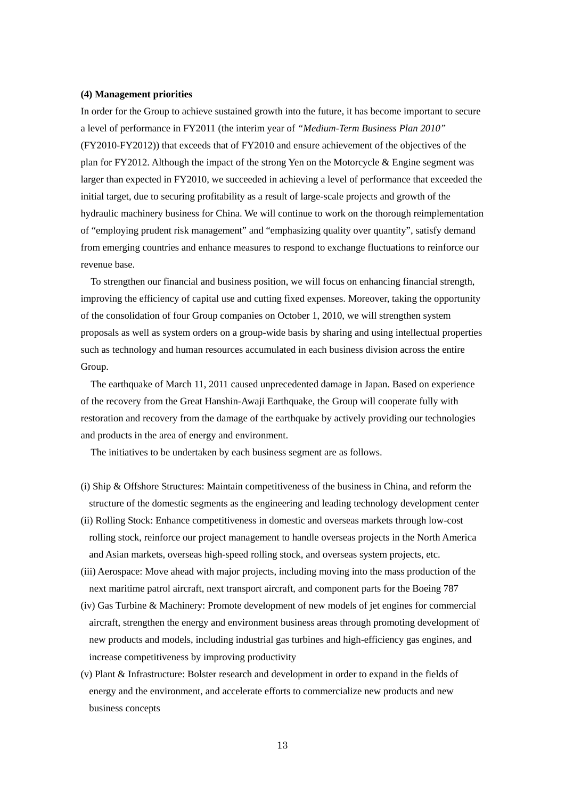## **(4) Management priorities**

In order for the Group to achieve sustained growth into the future, it has become important to secure a level of performance in FY2011 (the interim year of *"Medium-Term Business Plan 2010"*  (FY2010-FY2012)) that exceeds that of FY2010 and ensure achievement of the objectives of the plan for FY2012. Although the impact of the strong Yen on the Motorcycle & Engine segment was larger than expected in FY2010, we succeeded in achieving a level of performance that exceeded the initial target, due to securing profitability as a result of large-scale projects and growth of the hydraulic machinery business for China. We will continue to work on the thorough reimplementation of "employing prudent risk management" and "emphasizing quality over quantity", satisfy demand from emerging countries and enhance measures to respond to exchange fluctuations to reinforce our revenue base.

To strengthen our financial and business position, we will focus on enhancing financial strength, improving the efficiency of capital use and cutting fixed expenses. Moreover, taking the opportunity of the consolidation of four Group companies on October 1, 2010, we will strengthen system proposals as well as system orders on a group-wide basis by sharing and using intellectual properties such as technology and human resources accumulated in each business division across the entire Group.

The earthquake of March 11, 2011 caused unprecedented damage in Japan. Based on experience of the recovery from the Great Hanshin-Awaji Earthquake, the Group will cooperate fully with restoration and recovery from the damage of the earthquake by actively providing our technologies and products in the area of energy and environment.

The initiatives to be undertaken by each business segment are as follows.

- (i) Ship & Offshore Structures: Maintain competitiveness of the business in China, and reform the structure of the domestic segments as the engineering and leading technology development center
- (ii) Rolling Stock: Enhance competitiveness in domestic and overseas markets through low-cost rolling stock, reinforce our project management to handle overseas projects in the North America and Asian markets, overseas high-speed rolling stock, and overseas system projects, etc.
- (iii) Aerospace: Move ahead with major projects, including moving into the mass production of the next maritime patrol aircraft, next transport aircraft, and component parts for the Boeing 787
- (iv) Gas Turbine & Machinery: Promote development of new models of jet engines for commercial aircraft, strengthen the energy and environment business areas through promoting development of new products and models, including industrial gas turbines and high-efficiency gas engines, and increase competitiveness by improving productivity
- (v) Plant & Infrastructure: Bolster research and development in order to expand in the fields of energy and the environment, and accelerate efforts to commercialize new products and new business concepts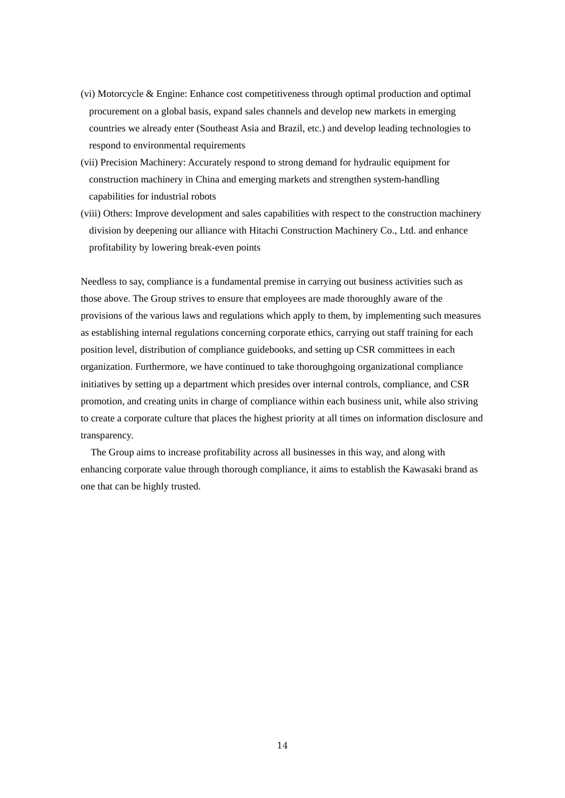- (vi) Motorcycle & Engine: Enhance cost competitiveness through optimal production and optimal procurement on a global basis, expand sales channels and develop new markets in emerging countries we already enter (Southeast Asia and Brazil, etc.) and develop leading technologies to respond to environmental requirements
- (vii) Precision Machinery: Accurately respond to strong demand for hydraulic equipment for construction machinery in China and emerging markets and strengthen system-handling capabilities for industrial robots
- (viii) Others: Improve development and sales capabilities with respect to the construction machinery division by deepening our alliance with Hitachi Construction Machinery Co., Ltd. and enhance profitability by lowering break-even points

Needless to say, compliance is a fundamental premise in carrying out business activities such as those above. The Group strives to ensure that employees are made thoroughly aware of the provisions of the various laws and regulations which apply to them, by implementing such measures as establishing internal regulations concerning corporate ethics, carrying out staff training for each position level, distribution of compliance guidebooks, and setting up CSR committees in each organization. Furthermore, we have continued to take thoroughgoing organizational compliance initiatives by setting up a department which presides over internal controls, compliance, and CSR promotion, and creating units in charge of compliance within each business unit, while also striving to create a corporate culture that places the highest priority at all times on information disclosure and transparency.

The Group aims to increase profitability across all businesses in this way, and along with enhancing corporate value through thorough compliance, it aims to establish the Kawasaki brand as one that can be highly trusted.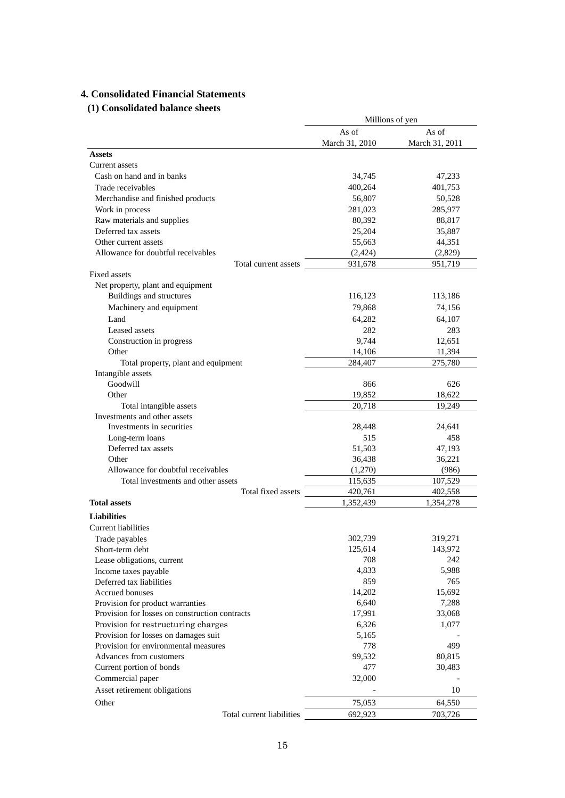# **4. Consolidated Financial Statements**

# **(1) Consolidated balance sheets**

|                                                | Millions of yen |                |
|------------------------------------------------|-----------------|----------------|
|                                                | As of           | As of          |
|                                                | March 31, 2010  | March 31, 2011 |
| <b>Assets</b>                                  |                 |                |
| Current assets                                 |                 |                |
| Cash on hand and in banks                      | 34,745          | 47,233         |
| Trade receivables                              | 400,264         | 401,753        |
| Merchandise and finished products              | 56,807          | 50,528         |
| Work in process                                | 281,023         | 285,977        |
| Raw materials and supplies                     | 80,392          | 88,817         |
| Deferred tax assets                            | 25,204          | 35,887         |
| Other current assets                           | 55,663          | 44,351         |
| Allowance for doubtful receivables             | (2, 424)        | (2,829)        |
| Total current assets                           | 931,678         | 951,719        |
| Fixed assets                                   |                 |                |
| Net property, plant and equipment              |                 |                |
| Buildings and structures                       | 116,123         | 113,186        |
| Machinery and equipment                        | 79,868          | 74,156         |
| Land                                           | 64,282          | 64,107         |
| Leased assets                                  | 282             | 283            |
| Construction in progress                       | 9.744           | 12,651         |
| Other                                          | 14,106          | 11,394         |
| Total property, plant and equipment            | 284,407         | 275,780        |
| Intangible assets                              |                 |                |
| Goodwill                                       | 866             | 626            |
| Other                                          | 19,852          | 18,622         |
| Total intangible assets                        | 20,718          | 19,249         |
| Investments and other assets                   |                 |                |
| Investments in securities                      | 28,448          | 24,641         |
| Long-term loans                                | 515             | 458            |
| Deferred tax assets                            | 51,503          | 47,193         |
| Other                                          | 36,438          | 36,221         |
| Allowance for doubtful receivables             | (1,270)         | (986)          |
| Total investments and other assets             | 115,635         | 107,529        |
| Total fixed assets                             | 420,761         | 402,558        |
| <b>Total assets</b>                            | 1,352,439       | 1,354,278      |
| <b>Liabilities</b>                             |                 |                |
| <b>Current liabilities</b>                     |                 |                |
| Trade payables                                 | 302,739         | 319,271        |
| Short-term debt                                | 125,614         | 143,972        |
| Lease obligations, current                     | 708             | 242            |
| Income taxes payable                           | 4,833           | 5,988          |
| Deferred tax liabilities                       | 859             | 765            |
| <b>Accrued bonuses</b>                         | 14,202          | 15,692         |
| Provision for product warranties               | 6,640           | 7,288          |
| Provision for losses on construction contracts | 17,991          | 33,068         |
| Provision for restructuring charges            | 6,326           | 1,077          |
| Provision for losses on damages suit           | 5,165           |                |
| Provision for environmental measures           | 778             | 499            |
| Advances from customers                        | 99,532          | 80,815         |
| Current portion of bonds                       | 477             | 30,483         |
| Commercial paper                               | 32,000          |                |
| Asset retirement obligations                   |                 | 10             |
| Other                                          | 75,053          | 64,550         |
| Total current liabilities                      | 692,923         | 703,726        |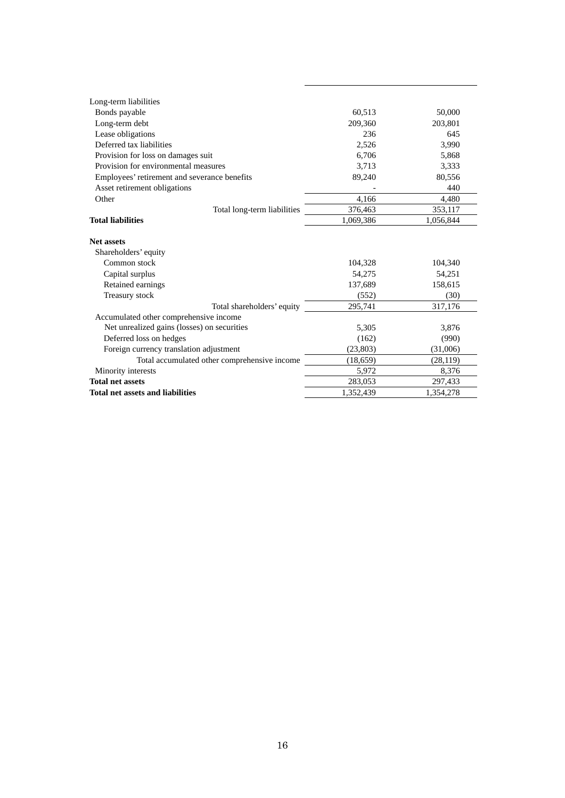| Long-term liabilities                        |           |           |
|----------------------------------------------|-----------|-----------|
| Bonds payable                                | 60,513    | 50,000    |
| Long-term debt                               | 209,360   | 203,801   |
| Lease obligations                            | 236       | 645       |
| Deferred tax liabilities                     | 2,526     | 3,990     |
| Provision for loss on damages suit           | 6.706     | 5,868     |
| Provision for environmental measures         | 3.713     | 3,333     |
| Employees' retirement and severance benefits | 89,240    | 80,556    |
| Asset retirement obligations                 |           | 440       |
| Other                                        | 4,166     | 4,480     |
| Total long-term liabilities                  | 376,463   | 353,117   |
| <b>Total liabilities</b>                     | 1,069,386 | 1,056,844 |
| <b>Net assets</b>                            |           |           |
| Shareholders' equity                         |           |           |
| Common stock                                 | 104,328   | 104,340   |
| Capital surplus                              | 54,275    | 54,251    |
| Retained earnings                            | 137,689   | 158,615   |
| Treasury stock                               | (552)     | (30)      |
| Total shareholders' equity                   | 295,741   | 317,176   |
| Accumulated other comprehensive income       |           |           |
| Net unrealized gains (losses) on securities  | 5,305     | 3,876     |
| Deferred loss on hedges                      | (162)     | (990)     |
| Foreign currency translation adjustment      | (23, 803) | (31,006)  |
| Total accumulated other comprehensive income | (18, 659) | (28, 119) |
| Minority interests                           | 5,972     | 8,376     |
| <b>Total net assets</b>                      | 283,053   | 297,433   |
| <b>Total net assets and liabilities</b>      | 1,352,439 | 1,354,278 |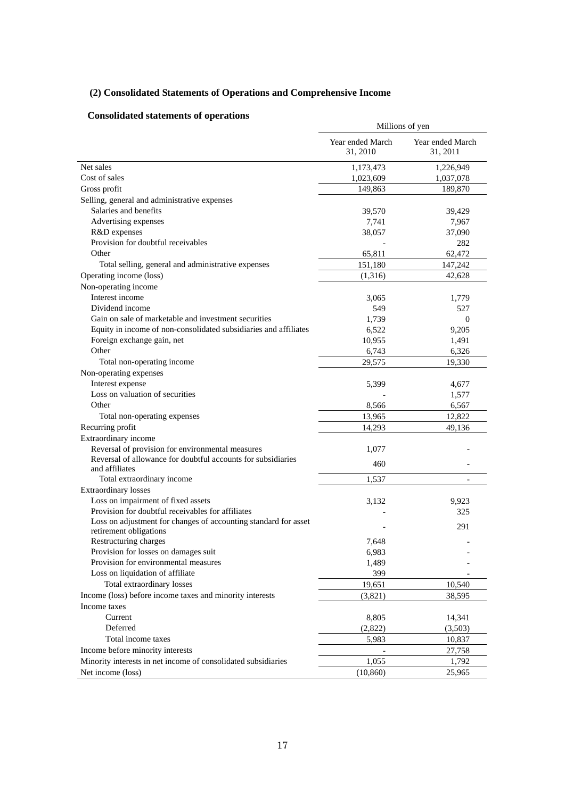# **(2) Consolidated Statements of Operations and Comprehensive Income**

# **Consolidated statements of operations**

| гонзончакса знакенилиз от ор                                                              | Millions of yen              |                              |
|-------------------------------------------------------------------------------------------|------------------------------|------------------------------|
|                                                                                           | Year ended March<br>31, 2010 | Year ended March<br>31, 2011 |
| Net sales                                                                                 | 1,173,473                    | 1,226,949                    |
| Cost of sales                                                                             | 1,023,609                    | 1,037,078                    |
| Gross profit                                                                              | 149,863                      | 189,870                      |
| Selling, general and administrative expenses                                              |                              |                              |
| Salaries and benefits                                                                     | 39,570                       | 39,429                       |
| Advertising expenses                                                                      | 7,741                        | 7,967                        |
| R&D expenses                                                                              | 38,057                       | 37,090                       |
| Provision for doubtful receivables                                                        |                              | 282                          |
| Other                                                                                     | 65,811                       | 62,472                       |
| Total selling, general and administrative expenses                                        | 151,180                      | 147,242                      |
| Operating income (loss)                                                                   | (1,316)                      | 42,628                       |
| Non-operating income                                                                      |                              |                              |
| Interest income                                                                           | 3,065                        | 1,779                        |
| Dividend income                                                                           | 549                          | 527                          |
| Gain on sale of marketable and investment securities                                      | 1,739                        | $\theta$                     |
| Equity in income of non-consolidated subsidiaries and affiliates                          | 6,522                        | 9,205                        |
| Foreign exchange gain, net                                                                | 10,955                       | 1,491                        |
| Other                                                                                     | 6,743                        | 6,326                        |
| Total non-operating income                                                                | 29,575                       | 19,330                       |
| Non-operating expenses                                                                    |                              |                              |
| Interest expense                                                                          | 5,399                        | 4,677                        |
| Loss on valuation of securities                                                           |                              | 1,577                        |
| Other                                                                                     | 8,566                        | 6,567                        |
| Total non-operating expenses                                                              | 13,965                       | 12,822                       |
| Recurring profit                                                                          | 14,293                       | 49,136                       |
| Extraordinary income                                                                      |                              |                              |
| Reversal of provision for environmental measures                                          | 1,077                        |                              |
| Reversal of allowance for doubtful accounts for subsidiaries<br>and affiliates            | 460                          |                              |
| Total extraordinary income                                                                | 1,537                        | $\overline{\phantom{a}}$     |
| <b>Extraordinary losses</b>                                                               |                              |                              |
| Loss on impairment of fixed assets                                                        | 3,132                        | 9,923                        |
| Provision for doubtful receivables for affiliates                                         |                              | 325                          |
| Loss on adjustment for changes of accounting standard for asset<br>retirement obligations |                              | 291                          |
| Restructuring charges                                                                     | 7,648                        |                              |
| Provision for losses on damages suit                                                      | 6,983                        |                              |
| Provision for environmental measures                                                      | 1,489                        |                              |
| Loss on liquidation of affiliate                                                          | 399                          |                              |
| Total extraordinary losses                                                                | 19,651                       | 10,540                       |
| Income (loss) before income taxes and minority interests                                  | (3,821)                      | 38,595                       |
| Income taxes                                                                              |                              |                              |
| Current                                                                                   | 8,805                        |                              |
| Deferred                                                                                  | (2,822)                      | 14,341<br>(3,503)            |
| Total income taxes                                                                        |                              |                              |
|                                                                                           | 5,983                        | 10,837                       |
| Income before minority interests                                                          |                              | 27,758                       |
| Minority interests in net income of consolidated subsidiaries                             | 1,055                        | 1,792                        |
| Net income (loss)                                                                         | (10, 860)                    | 25,965                       |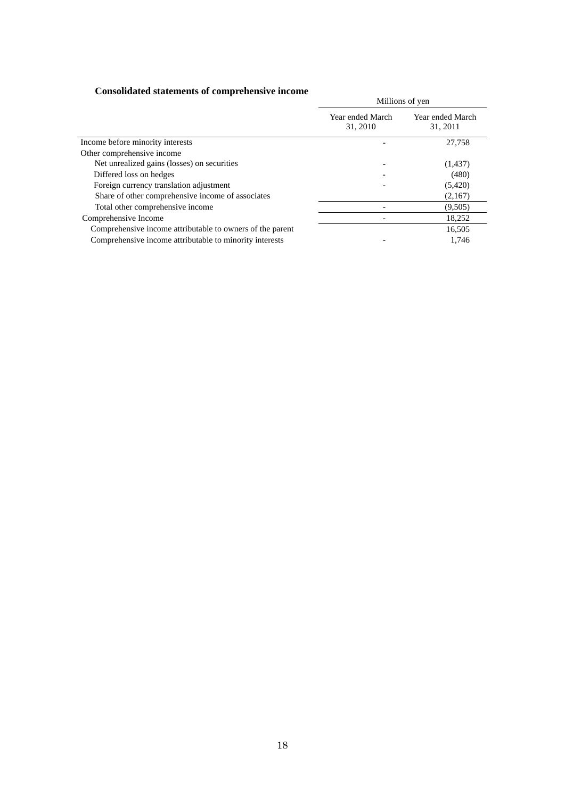# **Consolidated statements of comprehensive income**

| Consonuated statements of comprenensive income            | Millions of yen              |                              |
|-----------------------------------------------------------|------------------------------|------------------------------|
|                                                           | Year ended March<br>31, 2010 | Year ended March<br>31, 2011 |
| Income before minority interests                          |                              | 27,758                       |
| Other comprehensive income                                |                              |                              |
| Net unrealized gains (losses) on securities               |                              | (1,437)                      |
| Differed loss on hedges                                   |                              | (480)                        |
| Foreign currency translation adjustment                   |                              | (5,420)                      |
| Share of other comprehensive income of associates         |                              | (2,167)                      |
| Total other comprehensive income                          |                              | (9,505)                      |
| Comprehensive Income                                      |                              | 18,252                       |
| Comprehensive income attributable to owners of the parent |                              | 16,505                       |
| Comprehensive income attributable to minority interests   |                              | 1.746                        |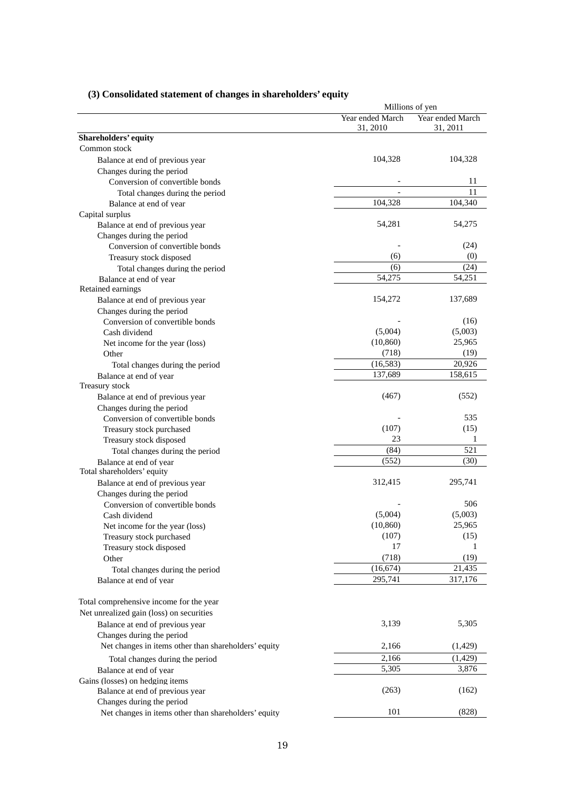|                                                           |                              | Millions of yen              |
|-----------------------------------------------------------|------------------------------|------------------------------|
|                                                           | Year ended March<br>31, 2010 | Year ended March<br>31, 2011 |
| Shareholders' equity                                      |                              |                              |
| Common stock                                              |                              |                              |
| Balance at end of previous year                           | 104,328                      | 104,328                      |
| Changes during the period                                 |                              |                              |
| Conversion of convertible bonds                           |                              | 11                           |
| Total changes during the period                           |                              | 11                           |
| Balance at end of year                                    | 104,328                      | 104,340                      |
| Capital surplus                                           |                              |                              |
| Balance at end of previous year                           | 54,281                       | 54,275                       |
| Changes during the period                                 |                              |                              |
| Conversion of convertible bonds                           |                              | (24)                         |
| Treasury stock disposed                                   | (6)                          | (0)                          |
| Total changes during the period                           | (6)                          | (24)                         |
| Balance at end of year                                    | 54,275                       | 54,251                       |
| Retained earnings                                         |                              |                              |
| Balance at end of previous year                           | 154,272                      | 137,689                      |
| Changes during the period                                 |                              |                              |
| Conversion of convertible bonds                           |                              | (16)                         |
| Cash dividend                                             | (5,004)                      | (5,003)                      |
| Net income for the year (loss)                            | (10, 860)                    | 25,965                       |
| Other                                                     | (718)                        | (19)                         |
| Total changes during the period                           | (16, 583)                    | 20,926                       |
| Balance at end of year                                    | 137,689                      | 158,615                      |
| Treasury stock                                            |                              |                              |
| Balance at end of previous year                           | (467)                        | (552)                        |
| Changes during the period                                 |                              |                              |
| Conversion of convertible bonds                           |                              | 535                          |
| Treasury stock purchased                                  | (107)                        | (15)                         |
| Treasury stock disposed                                   | 23                           | 1                            |
| Total changes during the period                           | (84)                         | 521                          |
| Balance at end of year<br>Total shareholders' equity      | (552)                        | (30)                         |
| Balance at end of previous year                           | 312,415                      | 295,741                      |
| Changes during the period                                 |                              |                              |
| Conversion of convertible bonds                           |                              | 506                          |
| Cash dividend                                             | (5,004)                      | (5,003)                      |
| Net income for the year (loss)                            | (10, 860)                    | 25,965                       |
| Treasury stock purchased                                  | (107)                        | (15)                         |
| Treasury stock disposed                                   | 17                           | 1                            |
| Other                                                     | (718)                        | (19)                         |
| Total changes during the period                           | (16, 674)                    | 21,435                       |
| Balance at end of year                                    | 295,741                      | 317,176                      |
| Total comprehensive income for the year                   |                              |                              |
| Net unrealized gain (loss) on securities                  |                              |                              |
| Balance at end of previous year                           | 3,139                        | 5,305                        |
| Changes during the period                                 |                              |                              |
| Net changes in items other than shareholders' equity      | 2,166                        | (1,429)                      |
|                                                           | 2,166                        | (1, 429)                     |
| Total changes during the period<br>Balance at end of year | 5,305                        | 3,876                        |
| Gains (losses) on hedging items                           |                              |                              |
| Balance at end of previous year                           | (263)                        | (162)                        |
| Changes during the period                                 |                              |                              |
| Net changes in items other than shareholders' equity      | 101                          | (828)                        |
|                                                           |                              |                              |

# **(3) Consolidated statement of changes in shareholders' equity**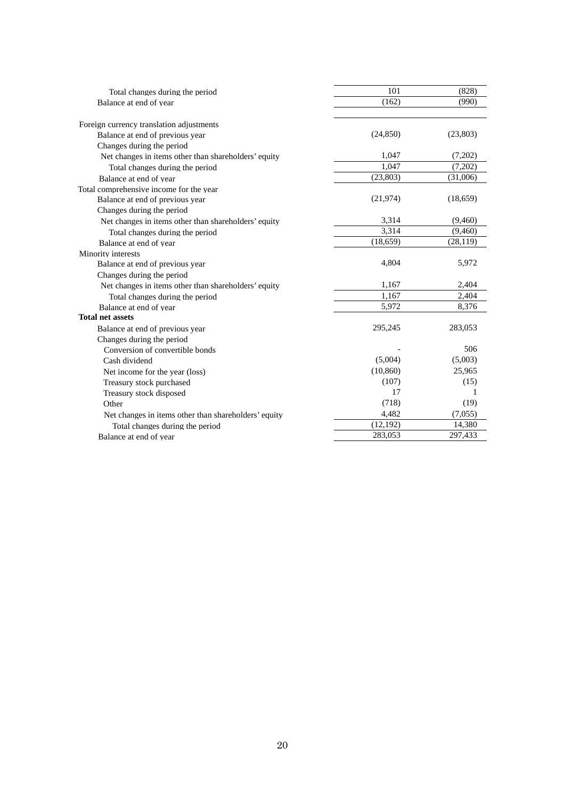| Total changes during the period                      | 101       | (828)     |
|------------------------------------------------------|-----------|-----------|
| Balance at end of year                               | (162)     | (990)     |
|                                                      |           |           |
| Foreign currency translation adjustments             |           |           |
| Balance at end of previous year                      | (24, 850) | (23, 803) |
| Changes during the period                            |           |           |
| Net changes in items other than shareholders' equity | 1,047     | (7,202)   |
| Total changes during the period                      | 1,047     | (7,202)   |
| Balance at end of year                               | (23,803)  | (31,006)  |
| Total comprehensive income for the year              |           |           |
| Balance at end of previous year                      | (21, 974) | (18, 659) |
| Changes during the period                            |           |           |
| Net changes in items other than shareholders' equity | 3,314     | (9,460)   |
| Total changes during the period                      | 3,314     | (9,460)   |
| Balance at end of year                               | (18, 659) | (28, 119) |
| Minority interests                                   |           |           |
| Balance at end of previous year                      | 4,804     | 5,972     |
| Changes during the period                            |           |           |
| Net changes in items other than shareholders' equity | 1,167     | 2,404     |
| Total changes during the period                      | 1,167     | 2,404     |
| Balance at end of year                               | 5,972     | 8,376     |
| <b>Total net assets</b>                              |           |           |
| Balance at end of previous year                      | 295,245   | 283,053   |
| Changes during the period                            |           |           |
| Conversion of convertible bonds                      |           | 506       |
| Cash dividend                                        | (5,004)   | (5,003)   |
| Net income for the year (loss)                       | (10, 860) | 25,965    |
| Treasury stock purchased                             | (107)     | (15)      |
| Treasury stock disposed                              | 17        | 1         |
| Other                                                | (718)     | (19)      |
| Net changes in items other than shareholders' equity | 4,482     | (7,055)   |
| Total changes during the period                      | (12, 192) | 14,380    |
| Balance at end of year                               | 283,053   | 297,433   |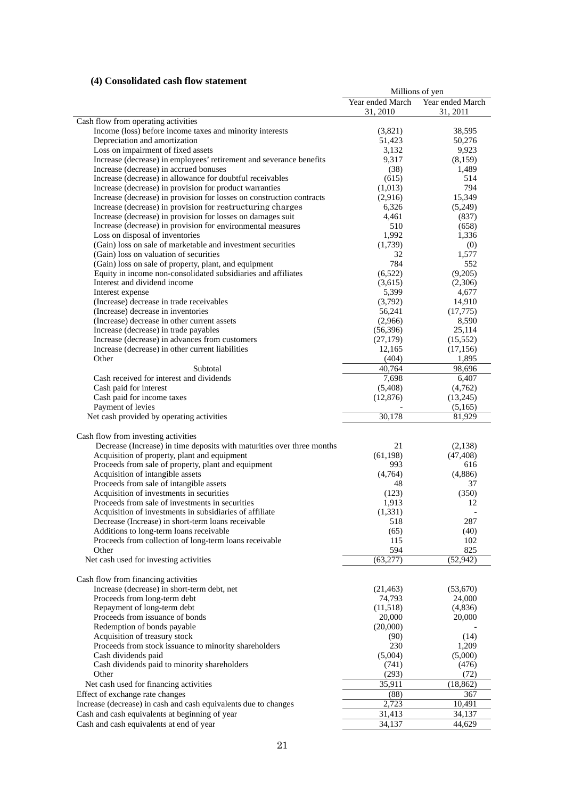# **(4) Consolidated cash flow statement**

|                                                                        |                  | Millions of yen  |
|------------------------------------------------------------------------|------------------|------------------|
|                                                                        | Year ended March | Year ended March |
|                                                                        | 31, 2010         | 31, 2011         |
| Cash flow from operating activities                                    |                  |                  |
| Income (loss) before income taxes and minority interests               | (3,821)          | 38,595           |
| Depreciation and amortization                                          | 51,423           | 50,276           |
| Loss on impairment of fixed assets                                     | 3,132            | 9,923            |
| Increase (decrease) in employees' retirement and severance benefits    | 9,317            | (8,159)          |
| Increase (decrease) in accrued bonuses                                 | (38)             | 1,489            |
| Increase (decrease) in allowance for doubtful receivables              | (615)            | 514              |
| Increase (decrease) in provision for product warranties                | (1,013)          | 794              |
| Increase (decrease) in provision for losses on construction contracts  | (2,916)          | 15,349           |
| Increase (decrease) in provision for restructuring charges             | 6,326            | (5,249)          |
| Increase (decrease) in provision for losses on damages suit            | 4,461            | (837)            |
| Increase (decrease) in provision for environmental measures            | 510              | (658)            |
| Loss on disposal of inventories                                        | 1,992            |                  |
|                                                                        |                  | 1,336            |
| (Gain) loss on sale of marketable and investment securities            | (1,739)          | (0)              |
| (Gain) loss on valuation of securities                                 | 32               | 1,577            |
| (Gain) loss on sale of property, plant, and equipment                  | 784              | 552              |
| Equity in income non-consolidated subsidiaries and affiliates          | (6,522)          | (9,205)          |
| Interest and dividend income                                           | (3,615)          | (2,306)          |
| Interest expense                                                       | 5,399            | 4,677            |
| (Increase) decrease in trade receivables                               | (3,792)          | 14,910           |
| (Increase) decrease in inventories                                     | 56,241           | (17, 775)        |
| (Increase) decrease in other current assets                            | (2,966)          | 8,590            |
| Increase (decrease) in trade payables                                  | (56,396)         | 25,114           |
| Increase (decrease) in advances from customers                         | (27, 179)        | (15, 552)        |
| Increase (decrease) in other current liabilities                       | 12,165           | (17, 156)        |
| Other                                                                  | (404)            | 1,895            |
| Subtotal                                                               | 40,764           | 98,696           |
| Cash received for interest and dividends                               | 7,698            | 6,407            |
| Cash paid for interest                                                 | (5,408)          | (4,762)          |
| Cash paid for income taxes                                             | (12, 876)        | (13,245)         |
| Payment of levies                                                      |                  | (5,165)          |
| Net cash provided by operating activities                              | 30,178           | 81,929           |
|                                                                        |                  |                  |
| Cash flow from investing activities                                    |                  |                  |
| Decrease (Increase) in time deposits with maturities over three months | 21               | (2,138)          |
| Acquisition of property, plant and equipment                           | (61, 198)        | (47, 408)        |
| Proceeds from sale of property, plant and equipment                    | 993              | 616              |
| Acquisition of intangible assets                                       | (4,764)          |                  |
| Proceeds from sale of intangible assets                                | 48               | (4,886)<br>37    |
|                                                                        |                  |                  |
| Acquisition of investments in securities                               | (123)            | (350)            |
| Proceeds from sale of investments in securities                        | 1,913            | 12               |
| Acquisition of investments in subsidiaries of affiliate                | (1, 331)         |                  |
| Decrease (Increase) in short-term loans receivable                     | 518              | 287              |
| Additions to long-term loans receivable                                | (65)             | (40)             |
| Proceeds from collection of long-term loans receivable                 | 115              | 102              |
| Other                                                                  | 594              | 825              |
| Net cash used for investing activities                                 | (63, 277)        | (52, 942)        |
|                                                                        |                  |                  |
| Cash flow from financing activities                                    |                  |                  |
| Increase (decrease) in short-term debt, net                            | (21, 463)        | (53,670)         |
| Proceeds from long-term debt                                           | 74,793           | 24,000           |
| Repayment of long-term debt                                            | (11,518)         | (4,836)          |
| Proceeds from issuance of bonds                                        | 20,000           | 20,000           |
| Redemption of bonds payable                                            | (20,000)         |                  |
| Acquisition of treasury stock                                          | (90)             | (14)             |
| Proceeds from stock issuance to minority shareholders                  | 230              | 1,209            |
| Cash dividends paid                                                    | (5,004)          | (5,000)          |
| Cash dividends paid to minority shareholders                           | (741)            | (476)            |
| Other                                                                  | (293)            | (72)             |
| Net cash used for financing activities                                 | 35,911           | (18, 862)        |
| Effect of exchange rate changes                                        | (88)             | 367              |
| Increase (decrease) in cash and cash equivalents due to changes        | 2,723            | 10,491           |
| Cash and cash equivalents at beginning of year                         | 31,413           | 34,137           |
| Cash and cash equivalents at end of year                               | 34,137           | 44,629           |
|                                                                        |                  |                  |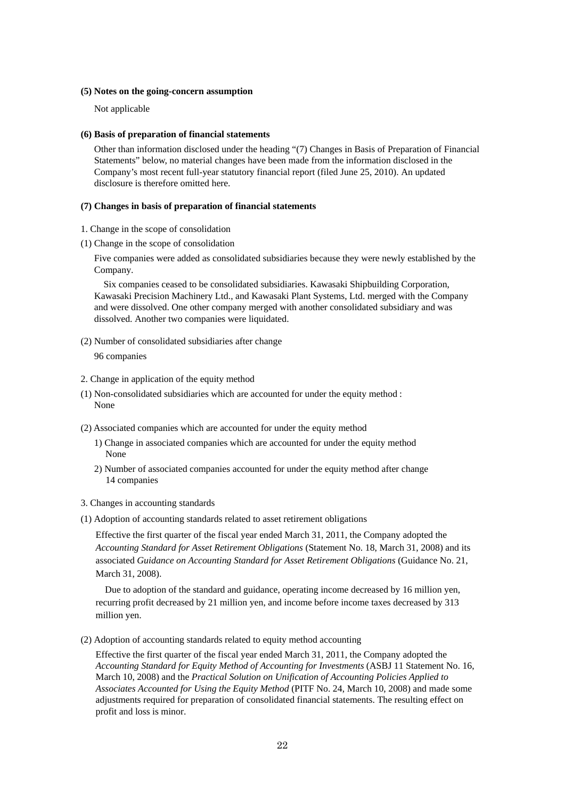#### **(5) Notes on the going-concern assumption**

Not applicable

#### **(6) Basis of preparation of financial statements**

Other than information disclosed under the heading "(7) Changes in Basis of Preparation of Financial Statements" below, no material changes have been made from the information disclosed in the Company's most recent full-year statutory financial report (filed June 25, 2010). An updated disclosure is therefore omitted here.

#### **(7) Changes in basis of preparation of financial statements**

- 1. Change in the scope of consolidation
- (1) Change in the scope of consolidation

Five companies were added as consolidated subsidiaries because they were newly established by the Company.

Six companies ceased to be consolidated subsidiaries. Kawasaki Shipbuilding Corporation, Kawasaki Precision Machinery Ltd., and Kawasaki Plant Systems, Ltd. merged with the Company and were dissolved. One other company merged with another consolidated subsidiary and was dissolved. Another two companies were liquidated.

(2) Number of consolidated subsidiaries after change

96 companies

- 2. Change in application of the equity method
- (1) Non-consolidated subsidiaries which are accounted for under the equity method : None
- (2) Associated companies which are accounted for under the equity method
	- 1) Change in associated companies which are accounted for under the equity method None
	- 2) Number of associated companies accounted for under the equity method after change 14 companies
- 3. Changes in accounting standards
- (1) Adoption of accounting standards related to asset retirement obligations

Effective the first quarter of the fiscal year ended March 31, 2011, the Company adopted the *Accounting Standard for Asset Retirement Obligations* (Statement No. 18, March 31, 2008) and its associated *Guidance on Accounting Standard for Asset Retirement Obligations* (Guidance No. 21, March 31, 2008).

Due to adoption of the standard and guidance, operating income decreased by 16 million yen, recurring profit decreased by 21 million yen, and income before income taxes decreased by 313 million yen.

(2) Adoption of accounting standards related to equity method accounting

Effective the first quarter of the fiscal year ended March 31, 2011, the Company adopted the *Accounting Standard for Equity Method of Accounting for Investments* (ASBJ 11 Statement No. 16, March 10, 2008) and the *Practical Solution on Unification of Accounting Policies Applied to Associates Accounted for Using the Equity Method* (PITF No. 24, March 10, 2008) and made some adjustments required for preparation of consolidated financial statements. The resulting effect on profit and loss is minor.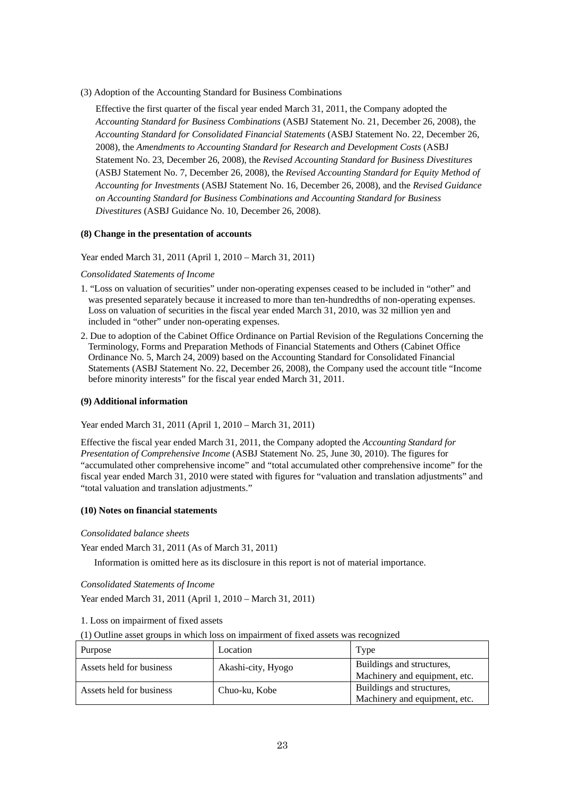(3) Adoption of the Accounting Standard for Business Combinations

Effective the first quarter of the fiscal year ended March 31, 2011, the Company adopted the *Accounting Standard for Business Combinations* (ASBJ Statement No. 21, December 26, 2008), the *Accounting Standard for Consolidated Financial Statements* (ASBJ Statement No. 22, December 26, 2008), the *Amendments to Accounting Standard for Research and Development Costs* (ASBJ Statement No. 23, December 26, 2008), the *Revised Accounting Standard for Business Divestitures*  (ASBJ Statement No. 7, December 26, 2008), the *Revised Accounting Standard for Equity Method of Accounting for Investments* (ASBJ Statement No. 16, December 26, 2008), and the *Revised Guidance on Accounting Standard for Business Combinations and Accounting Standard for Business Divestitures* (ASBJ Guidance No. 10, December 26, 2008).

# **(8) Change in the presentation of accounts**

Year ended March 31, 2011 (April 1, 2010 – March 31, 2011)

# *Consolidated Statements of Income*

- 1. "Loss on valuation of securities" under non-operating expenses ceased to be included in "other" and was presented separately because it increased to more than ten-hundredths of non-operating expenses. Loss on valuation of securities in the fiscal year ended March 31, 2010, was 32 million yen and included in "other" under non-operating expenses.
- 2. Due to adoption of the Cabinet Office Ordinance on Partial Revision of the Regulations Concerning the Terminology, Forms and Preparation Methods of Financial Statements and Others (Cabinet Office Ordinance No. 5, March 24, 2009) based on the Accounting Standard for Consolidated Financial Statements (ASBJ Statement No. 22, December 26, 2008), the Company used the account title "Income before minority interests" for the fiscal year ended March 31, 2011.

# **(9) Additional information**

Year ended March 31, 2011 (April 1, 2010 – March 31, 2011)

Effective the fiscal year ended March 31, 2011, the Company adopted the *Accounting Standard for Presentation of Comprehensive Income* (ASBJ Statement No. 25, June 30, 2010). The figures for "accumulated other comprehensive income" and "total accumulated other comprehensive income" for the fiscal year ended March 31, 2010 were stated with figures for "valuation and translation adjustments" and "total valuation and translation adjustments."

# **(10) Notes on financial statements**

# *Consolidated balance sheets*

Year ended March 31, 2011 (As of March 31, 2011)

Information is omitted here as its disclosure in this report is not of material importance.

# *Consolidated Statements of Income*

Year ended March 31, 2011 (April 1, 2010 – March 31, 2011)

# 1. Loss on impairment of fixed assets

(1) Outline asset groups in which loss on impairment of fixed assets was recognized

| Purpose                  | Location           | Type                          |
|--------------------------|--------------------|-------------------------------|
| Assets held for business | Akashi-city, Hyogo | Buildings and structures,     |
|                          |                    | Machinery and equipment, etc. |
| Assets held for business | Chuo-ku, Kobe      | Buildings and structures,     |
|                          |                    | Machinery and equipment, etc. |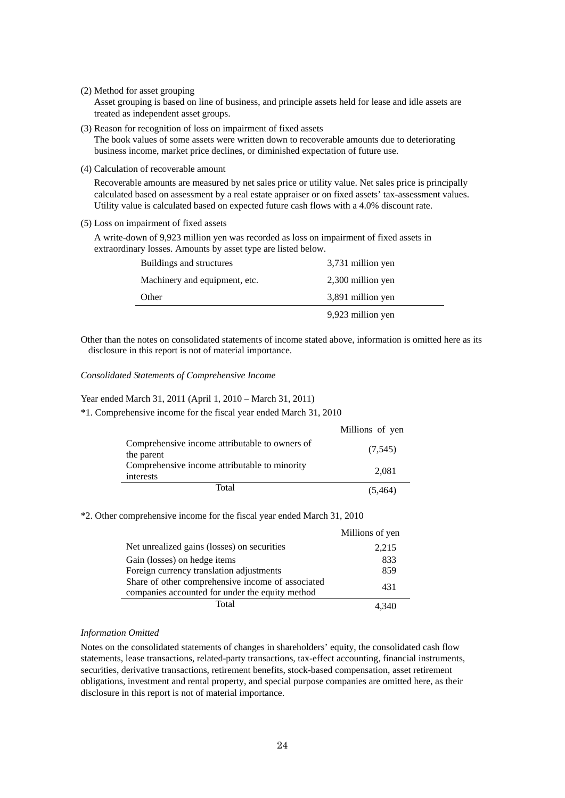(2) Method for asset grouping

Asset grouping is based on line of business, and principle assets held for lease and idle assets are treated as independent asset groups.

(3) Reason for recognition of loss on impairment of fixed assets

The book values of some assets were written down to recoverable amounts due to deteriorating business income, market price declines, or diminished expectation of future use.

(4) Calculation of recoverable amount

Recoverable amounts are measured by net sales price or utility value. Net sales price is principally calculated based on assessment by a real estate appraiser or on fixed assets' tax-assessment values. Utility value is calculated based on expected future cash flows with a 4.0% discount rate.

(5) Loss on impairment of fixed assets

A write-down of 9,923 million yen was recorded as loss on impairment of fixed assets in extraordinary losses. Amounts by asset type are listed below.

| Buildings and structures      | 3,731 million yen |
|-------------------------------|-------------------|
| Machinery and equipment, etc. | 2,300 million yen |
| Other                         | 3,891 million yen |
|                               | 9,923 million yen |

Other than the notes on consolidated statements of income stated above, information is omitted here as its disclosure in this report is not of material importance.

#### *Consolidated Statements of Comprehensive Income*

# Year ended March 31, 2011 (April 1, 2010 – March 31, 2011)

\*1. Comprehensive income for the fiscal year ended March 31, 2010

|                                                              | Millions of yen |
|--------------------------------------------------------------|-----------------|
| Comprehensive income attributable to owners of<br>the parent | (7,545)         |
| Comprehensive income attributable to minority<br>interests   | 2,081           |
| Total                                                        | (5.464)         |

#### \*2. Other comprehensive income for the fiscal year ended March 31, 2010

|                                                                                                      | Millions of yen |
|------------------------------------------------------------------------------------------------------|-----------------|
| Net unrealized gains (losses) on securities                                                          | 2,215           |
| Gain (losses) on hedge items                                                                         | 833             |
| Foreign currency translation adjustments                                                             | 859             |
| Share of other comprehensive income of associated<br>companies accounted for under the equity method | 431             |
| Total                                                                                                |                 |

# *Information Omitted*

Notes on the consolidated statements of changes in shareholders' equity, the consolidated cash flow statements, lease transactions, related-party transactions, tax-effect accounting, financial instruments, securities, derivative transactions, retirement benefits, stock-based compensation, asset retirement obligations, investment and rental property, and special purpose companies are omitted here, as their disclosure in this report is not of material importance.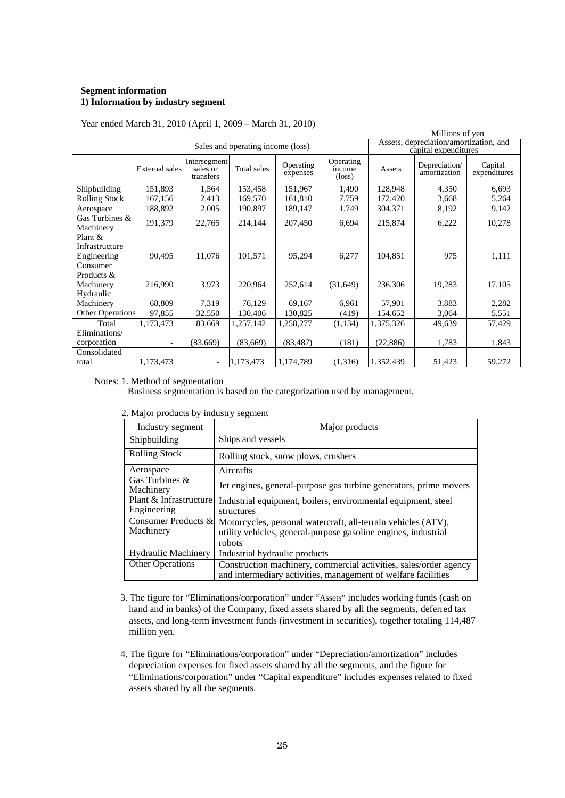# **Segment information 1) Information by industry segment**

|                                                      |                                   |                                       |             |                       |                                        |                                                                | Millions of yen               |                         |
|------------------------------------------------------|-----------------------------------|---------------------------------------|-------------|-----------------------|----------------------------------------|----------------------------------------------------------------|-------------------------------|-------------------------|
|                                                      | Sales and operating income (loss) |                                       |             |                       |                                        | Assets, depreciation/amortization, and<br>capital expenditures |                               |                         |
|                                                      | External sales                    | Intersegment<br>sales or<br>transfers | Total sales | Operating<br>expenses | Operating<br>income<br>$(\text{loss})$ | Assets                                                         | Depreciation/<br>amortization | Capital<br>expenditures |
| Shipbuilding                                         | 151,893                           | 1,564                                 | 153,458     | 151,967               | 1,490                                  | 128,948                                                        | 4,350                         | 6,693                   |
| Rolling Stock                                        | 167,156                           | 2,413                                 | 169,570     | 161,810               | 7,759                                  | 172,420                                                        | 3,668                         | 5,264                   |
| Aerospace                                            | 188,892                           | 2,005                                 | 190,897     | 189,147               | 1,749                                  | 304,371                                                        | 8,192                         | 9,142                   |
| Gas Turbines &<br>Machinery                          | 191,379                           | 22,765                                | 214,144     | 207,450               | 6,694                                  | 215,874                                                        | 6,222                         | 10,278                  |
| Plant &<br>Infrastructure<br>Engineering<br>Consumer | 90,495                            | 11,076                                | 101,571     | 95,294                | 6,277                                  | 104,851                                                        | 975                           | 1,111                   |
| Products &<br>Machinery<br>Hydraulic                 | 216,990                           | 3,973                                 | 220,964     | 252,614               | (31,649)                               | 236,306                                                        | 19,283                        | 17,105                  |
| Machinery                                            | 68,809                            | 7,319                                 | 76,129      | 69,167                | 6.961                                  | 57,901                                                         | 3,883                         | 2,282                   |
| <b>Other Operations</b>                              | 97,855                            | 32,550                                | 130,406     | 130,825               | (419)                                  | 154,652                                                        | 3,064                         | 5,551                   |
| Total                                                | 1,173,473                         | 83,669                                | 1,257,142   | 1,258,277             | (1,134)                                | 1,375,326                                                      | 49,639                        | 57,429                  |
| Eliminations/                                        |                                   |                                       |             |                       |                                        |                                                                |                               |                         |
| corporation                                          | $\overline{a}$                    | (83,669)                              | (83,669)    | (83, 487)             | (181)                                  | (22, 886)                                                      | 1,783                         | 1,843                   |
| Consolidated                                         |                                   |                                       |             |                       |                                        |                                                                |                               |                         |
| total                                                | 1,173,473                         | $\overline{\phantom{a}}$              | 1,173,473   | 1,174,789             | (1,316)                                | 1,352,439                                                      | 51,423                        | 59,272                  |

Year ended March 31, 2010 (April 1, 2009 – March 31, 2010)

Notes: 1. Method of segmentation

Business segmentation is based on the categorization used by management.

| Industry segment     | Major products                      |
|----------------------|-------------------------------------|
| Shipbuilding         | Ships and vessels                   |
| <b>Rolling Stock</b> | Rolling stock, snow plows, crushers |

2. Major products by industry segment

| muusu y segment             | <b>National</b> products                                          |
|-----------------------------|-------------------------------------------------------------------|
| Shipbuilding                | Ships and vessels                                                 |
| <b>Rolling Stock</b>        | Rolling stock, snow plows, crushers                               |
| Aerospace                   | Aircrafts                                                         |
| Gas Turbines &<br>Machinery | Jet engines, general-purpose gas turbine generators, prime movers |
| Plant & Infrastructure      | Industrial equipment, boilers, environmental equipment, steel     |
| Engineering                 | structures                                                        |
| Consumer Products &         | Motorcycles, personal watercraft, all-terrain vehicles (ATV),     |
| Machinery                   | utility vehicles, general-purpose gasoline engines, industrial    |
|                             | robots                                                            |
| <b>Hydraulic Machinery</b>  | Industrial hydraulic products                                     |
| <b>Other Operations</b>     | Construction machinery, commercial activities, sales/order agency |
|                             | and intermediary activities, management of welfare facilities     |

٦

- 3. The figure for "Eliminations/corporation" under "Assets" includes working funds (cash on hand and in banks) of the Company, fixed assets shared by all the segments, deferred tax assets, and long-term investment funds (investment in securities), together totaling 114,487 million yen.
- 4. The figure for "Eliminations/corporation" under "Depreciation/amortization" includes depreciation expenses for fixed assets shared by all the segments, and the figure for "Eliminations/corporation" under "Capital expenditure" includes expenses related to fixed assets shared by all the segments.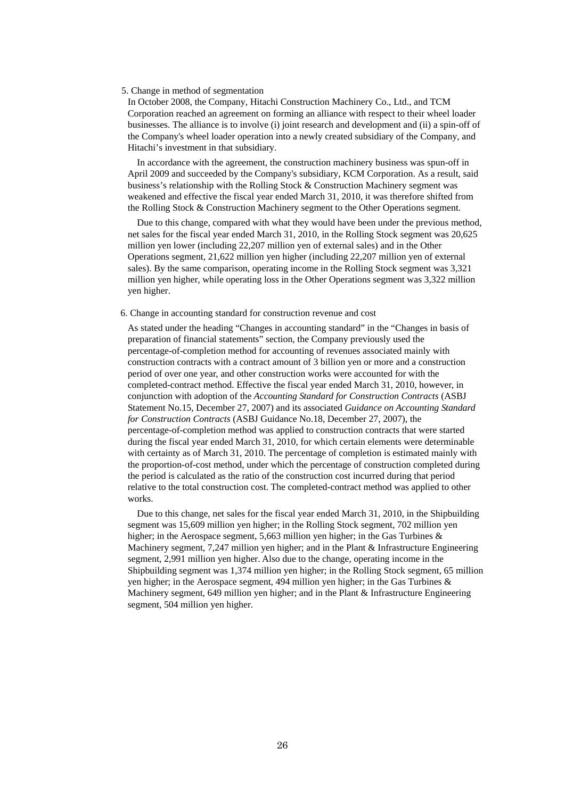#### 5. Change in method of segmentation

In October 2008, the Company, Hitachi Construction Machinery Co., Ltd., and TCM Corporation reached an agreement on forming an alliance with respect to their wheel loader businesses. The alliance is to involve (i) joint research and development and (ii) a spin-off of the Company's wheel loader operation into a newly created subsidiary of the Company, and Hitachi's investment in that subsidiary.

In accordance with the agreement, the construction machinery business was spun-off in April 2009 and succeeded by the Company's subsidiary, KCM Corporation. As a result, said business's relationship with the Rolling Stock & Construction Machinery segment was weakened and effective the fiscal year ended March 31, 2010, it was therefore shifted from the Rolling Stock & Construction Machinery segment to the Other Operations segment.

Due to this change, compared with what they would have been under the previous method, net sales for the fiscal year ended March 31, 2010, in the Rolling Stock segment was 20,625 million yen lower (including 22,207 million yen of external sales) and in the Other Operations segment, 21,622 million yen higher (including 22,207 million yen of external sales). By the same comparison, operating income in the Rolling Stock segment was 3,321 million yen higher, while operating loss in the Other Operations segment was 3,322 million yen higher.

#### 6. Change in accounting standard for construction revenue and cost

As stated under the heading "Changes in accounting standard" in the "Changes in basis of preparation of financial statements" section, the Company previously used the percentage-of-completion method for accounting of revenues associated mainly with construction contracts with a contract amount of 3 billion yen or more and a construction period of over one year, and other construction works were accounted for with the completed-contract method. Effective the fiscal year ended March 31, 2010, however, in conjunction with adoption of the *Accounting Standard for Construction Contracts* (ASBJ Statement No.15, December 27, 2007) and its associated *Guidance on Accounting Standard for Construction Contracts* (ASBJ Guidance No.18, December 27, 2007), the percentage-of-completion method was applied to construction contracts that were started during the fiscal year ended March 31, 2010, for which certain elements were determinable with certainty as of March 31, 2010. The percentage of completion is estimated mainly with the proportion-of-cost method, under which the percentage of construction completed during the period is calculated as the ratio of the construction cost incurred during that period relative to the total construction cost. The completed-contract method was applied to other works.

Due to this change, net sales for the fiscal year ended March 31, 2010, in the Shipbuilding segment was 15,609 million yen higher; in the Rolling Stock segment, 702 million yen higher; in the Aerospace segment, 5,663 million yen higher; in the Gas Turbines & Machinery segment, 7,247 million yen higher; and in the Plant & Infrastructure Engineering segment, 2,991 million yen higher. Also due to the change, operating income in the Shipbuilding segment was 1,374 million yen higher; in the Rolling Stock segment, 65 million yen higher; in the Aerospace segment, 494 million yen higher; in the Gas Turbines & Machinery segment, 649 million yen higher; and in the Plant & Infrastructure Engineering segment, 504 million yen higher.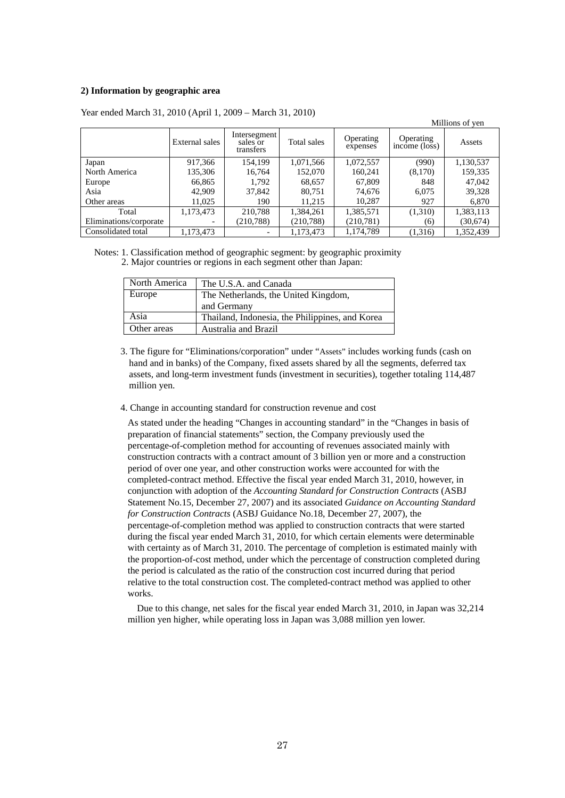# **2) Information by geographic area**

|                        |                |                                       |             |                       |                            | Millions of yen |
|------------------------|----------------|---------------------------------------|-------------|-----------------------|----------------------------|-----------------|
|                        | External sales | Intersegment<br>sales or<br>transfers | Total sales | Operating<br>expenses | Operating<br>income (loss) | Assets          |
| Japan                  | 917,366        | 154,199                               | 1,071,566   | 1,072,557             | (990)                      | 1,130,537       |
| North America          | 135,306        | 16,764                                | 152,070     | 160,241               | (8,170)                    | 159,335         |
| Europe                 | 66,865         | 1,792                                 | 68,657      | 67,809                | 848                        | 47,042          |
| Asia                   | 42,909         | 37,842                                | 80,751      | 74,676                | 6,075                      | 39,328          |
| Other areas            | 11,025         | 190                                   | 11,215      | 10,287                | 927                        | 6,870           |
| Total                  | 1,173,473      | 210,788                               | 1,384,261   | 1,385,571             | (1,310)                    | 1,383,113       |
| Eliminations/corporate |                | (210, 788)                            | (210, 788)  | (210, 781)            | (6)                        | (30,674)        |
| Consolidated total     | 1,173,473      | $\overline{\phantom{a}}$              | 1,173,473   | 1,174,789             | (1,316)                    | 1,352,439       |

Year ended March 31, 2010 (April 1, 2009 – March 31, 2010)

Notes: 1. Classification method of geographic segment: by geographic proximity 2. Major countries or regions in each segment other than Japan:

| North America | The U.S.A. and Canada                           |
|---------------|-------------------------------------------------|
| Europe        | The Netherlands, the United Kingdom,            |
|               | and Germany                                     |
| Asia          | Thailand, Indonesia, the Philippines, and Korea |
| Other areas   | Australia and Brazil                            |

3. The figure for "Eliminations/corporation" under "Assets" includes working funds (cash on hand and in banks) of the Company, fixed assets shared by all the segments, deferred tax assets, and long-term investment funds (investment in securities), together totaling 114,487 million yen.

#### 4. Change in accounting standard for construction revenue and cost

As stated under the heading "Changes in accounting standard" in the "Changes in basis of preparation of financial statements" section, the Company previously used the percentage-of-completion method for accounting of revenues associated mainly with construction contracts with a contract amount of 3 billion yen or more and a construction period of over one year, and other construction works were accounted for with the completed-contract method. Effective the fiscal year ended March 31, 2010, however, in conjunction with adoption of the *Accounting Standard for Construction Contracts* (ASBJ Statement No.15, December 27, 2007) and its associated *Guidance on Accounting Standard for Construction Contracts* (ASBJ Guidance No.18, December 27, 2007), the percentage-of-completion method was applied to construction contracts that were started during the fiscal year ended March 31, 2010, for which certain elements were determinable with certainty as of March 31, 2010. The percentage of completion is estimated mainly with the proportion-of-cost method, under which the percentage of construction completed during the period is calculated as the ratio of the construction cost incurred during that period relative to the total construction cost. The completed-contract method was applied to other works.

Due to this change, net sales for the fiscal year ended March 31, 2010, in Japan was 32,214 million yen higher, while operating loss in Japan was 3,088 million yen lower.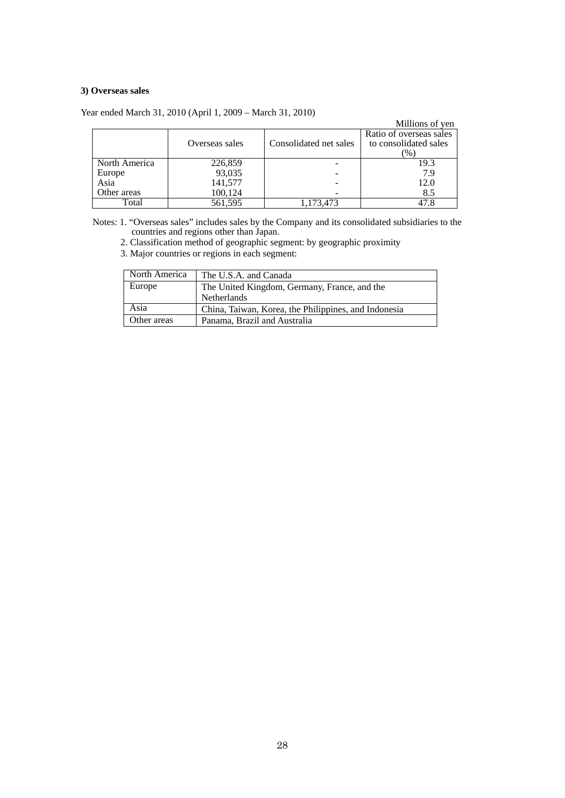# **3) Overseas sales**

|               |                |                        | Millions of yen                                          |
|---------------|----------------|------------------------|----------------------------------------------------------|
|               | Overseas sales | Consolidated net sales | Ratio of overseas sales<br>to consolidated sales<br>$\%$ |
| North America | 226,859        |                        | 19.3                                                     |
| Europe        | 93,035         |                        | 7.9                                                      |
| Asia          | 141,577        |                        | 12.0                                                     |
| Other areas   | 100,124        |                        | 8.5                                                      |
| Total         | 561,595        | 1,173,473              | 47.8                                                     |

Year ended March 31, 2010 (April 1, 2009 – March 31, 2010)

Notes: 1. "Overseas sales" includes sales by the Company and its consolidated subsidiaries to the countries and regions other than Japan.

2. Classification method of geographic segment: by geographic proximity

3. Major countries or regions in each segment:

| North America | The U.S.A. and Canada                                |
|---------------|------------------------------------------------------|
| Europe        | The United Kingdom, Germany, France, and the         |
|               | <b>Netherlands</b>                                   |
| Asia          | China, Taiwan, Korea, the Philippines, and Indonesia |
| Other areas   | Panama, Brazil and Australia                         |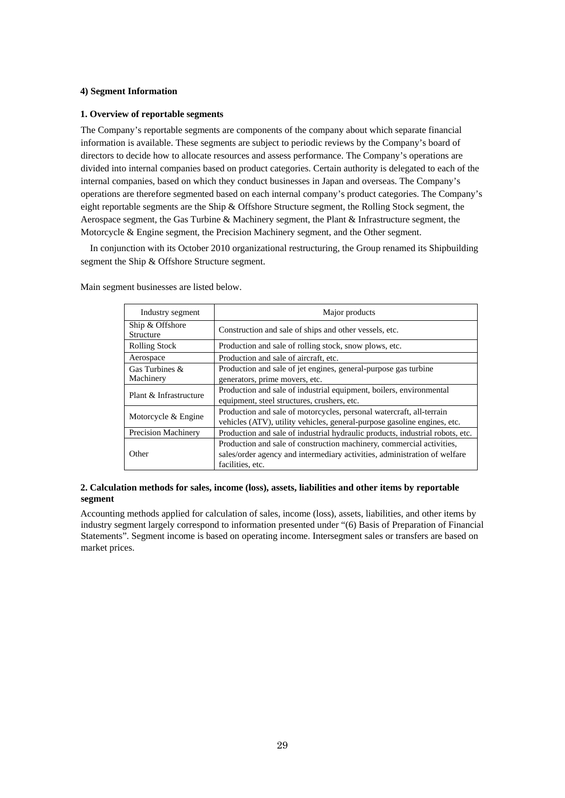## **4) Segment Information**

## **1. Overview of reportable segments**

The Company's reportable segments are components of the company about which separate financial information is available. These segments are subject to periodic reviews by the Company's board of directors to decide how to allocate resources and assess performance. The Company's operations are divided into internal companies based on product categories. Certain authority is delegated to each of the internal companies, based on which they conduct businesses in Japan and overseas. The Company's operations are therefore segmented based on each internal company's product categories. The Company's eight reportable segments are the Ship & Offshore Structure segment, the Rolling Stock segment, the Aerospace segment, the Gas Turbine & Machinery segment, the Plant & Infrastructure segment, the Motorcycle & Engine segment, the Precision Machinery segment, and the Other segment.

In conjunction with its October 2010 organizational restructuring, the Group renamed its Shipbuilding segment the Ship & Offshore Structure segment.

| Industry segment             | Major products                                                                                                                                                         |
|------------------------------|------------------------------------------------------------------------------------------------------------------------------------------------------------------------|
| Ship & Offshore<br>Structure | Construction and sale of ships and other vessels, etc.                                                                                                                 |
| <b>Rolling Stock</b>         | Production and sale of rolling stock, snow plows, etc.                                                                                                                 |
| Aerospace                    | Production and sale of aircraft, etc.                                                                                                                                  |
| Gas Turbines &<br>Machinery  | Production and sale of jet engines, general-purpose gas turbine<br>generators, prime movers, etc.                                                                      |
| Plant & Infrastructure       | Production and sale of industrial equipment, boilers, environmental<br>equipment, steel structures, crushers, etc.                                                     |
| Motorcycle & Engine          | Production and sale of motorcycles, personal watercraft, all-terrain<br>vehicles (ATV), utility vehicles, general-purpose gasoline engines, etc.                       |
| <b>Precision Machinery</b>   | Production and sale of industrial hydraulic products, industrial robots, etc.                                                                                          |
| Other                        | Production and sale of construction machinery, commercial activities,<br>sales/order agency and intermediary activities, administration of welfare<br>facilities, etc. |

Main segment businesses are listed below.

# **2. Calculation methods for sales, income (loss), assets, liabilities and other items by reportable segment**

Accounting methods applied for calculation of sales, income (loss), assets, liabilities, and other items by industry segment largely correspond to information presented under "(6) Basis of Preparation of Financial Statements". Segment income is based on operating income. Intersegment sales or transfers are based on market prices.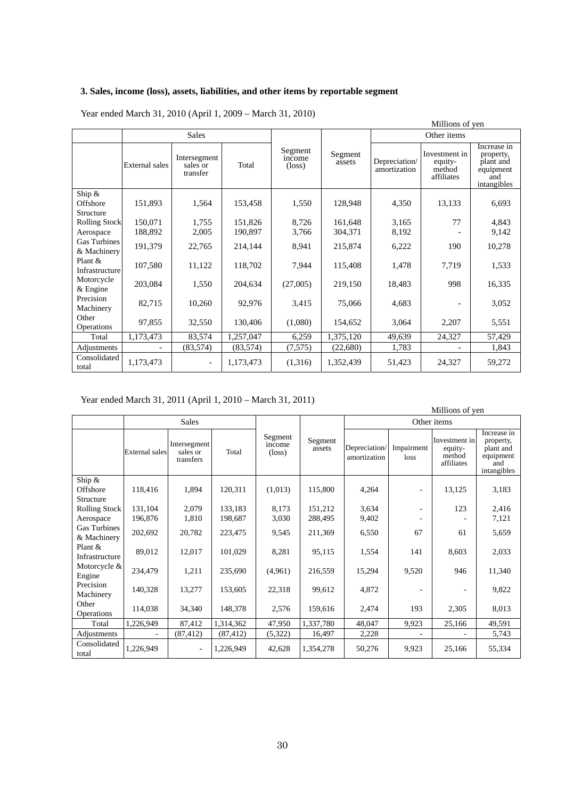# **3. Sales, income (loss), assets, liabilities, and other items by reportable segment**

|                                   |                |                                      |           |                                      |                   | Millions of yen               |                                                  |                                                                          |
|-----------------------------------|----------------|--------------------------------------|-----------|--------------------------------------|-------------------|-------------------------------|--------------------------------------------------|--------------------------------------------------------------------------|
|                                   | <b>Sales</b>   |                                      |           |                                      | Other items       |                               |                                                  |                                                                          |
|                                   | External sales | Intersegment<br>sales or<br>transfer | Total     | Segment<br>income<br>$(\text{loss})$ | Segment<br>assets | Depreciation/<br>amortization | Investment in<br>equity-<br>method<br>affiliates | Increase in<br>property,<br>plant and<br>equipment<br>and<br>intangibles |
| Ship $\&$                         |                |                                      |           |                                      |                   |                               |                                                  |                                                                          |
| Offshore                          | 151,893        | 1,564                                | 153,458   | 1,550                                | 128,948           | 4,350                         | 13,133                                           | 6,693                                                                    |
| Structure<br><b>Rolling Stock</b> | 150,071        | 1,755                                | 151,826   | 8,726                                | 161,648           | 3,165                         | 77                                               | 4,843                                                                    |
| Aerospace                         | 188,892        | 2,005                                | 190,897   | 3,766                                | 304,371           | 8,192                         |                                                  | 9,142                                                                    |
| Gas Turbines<br>& Machinery       | 191,379        | 22,765                               | 214,144   | 8,941                                | 215,874           | 6,222                         | 190                                              | 10,278                                                                   |
| Plant &<br>Infrastructure         | 107,580        | 11,122                               | 118,702   | 7,944                                | 115,408           | 1,478                         | 7,719                                            | 1,533                                                                    |
| Motorcycle<br>$&$ Engine          | 203,084        | 1,550                                | 204,634   | (27,005)                             | 219,150           | 18,483                        | 998                                              | 16,335                                                                   |
| Precision<br>Machinery            | 82,715         | 10,260                               | 92,976    | 3,415                                | 75,066            | 4,683                         |                                                  | 3,052                                                                    |
| Other<br><b>Operations</b>        | 97,855         | 32,550                               | 130,406   | (1,080)                              | 154,652           | 3,064                         | 2,207                                            | 5,551                                                                    |
| Total                             | 1,173,473      | 83,574                               | 1,257,047 | 6,259                                | 1,375,120         | 49,639                        | 24,327                                           | 57,429                                                                   |
| Adjustments                       |                | (83, 574)                            | (83, 574) | (7,575)                              | (22,680)          | 1,783                         |                                                  | 1,843                                                                    |
| Consolidated<br>total             | 1,173,473      |                                      | 1,173,473 | (1,316)                              | 1,352,439         | 51,423                        | 24,327                                           | 59,272                                                                   |

Year ended March 31, 2010 (April 1, 2009 – March 31, 2010)

# Year ended March 31, 2011 (April 1, 2010 – March 31, 2011)

| Millions of yen             |                       |                                       |           |                                      |                   |                               |                          |                                                  |                                                                          |
|-----------------------------|-----------------------|---------------------------------------|-----------|--------------------------------------|-------------------|-------------------------------|--------------------------|--------------------------------------------------|--------------------------------------------------------------------------|
|                             |                       | <b>Sales</b>                          |           |                                      |                   | Other items                   |                          |                                                  |                                                                          |
|                             | <b>External</b> sales | Intersegment<br>sales or<br>transfers | Total     | Segment<br>income<br>$(\text{loss})$ | Segment<br>assets | Depreciation/<br>amortization | Impairment<br>loss       | Investment in<br>equity-<br>method<br>affiliates | Increase in<br>property,<br>plant and<br>equipment<br>and<br>intangibles |
| Ship &                      |                       |                                       |           |                                      |                   |                               |                          |                                                  |                                                                          |
| Offshore                    | 118,416               | 1,894                                 | 120,311   | (1,013)                              | 115,800           | 4,264                         | ٠                        | 13,125                                           | 3,183                                                                    |
| Structure                   |                       |                                       |           |                                      |                   |                               |                          |                                                  |                                                                          |
| Rolling Stock               | 131,104               | 2,079                                 | 133,183   | 8,173                                | 151,212           | 3,634                         | $\overline{\phantom{0}}$ | 123                                              | 2,416                                                                    |
| Aerospace                   | 196,876               | 1,810                                 | 198,687   | 3,030                                | 288,495           | 9,402                         |                          |                                                  | 7,121                                                                    |
| Gas Turbines<br>& Machinery | 202,692               | 20,782                                | 223,475   | 9,545                                | 211,369           | 6,550                         | 67                       | 61                                               | 5,659                                                                    |
| Plant &<br>Infrastructure   | 89,012                | 12,017                                | 101,029   | 8,281                                | 95,115            | 1,554                         | 141                      | 8,603                                            | 2,033                                                                    |
| Motorcycle &<br>Engine      | 234,479               | 1,211                                 | 235,690   | (4,961)                              | 216,559           | 15,294                        | 9,520                    | 946                                              | 11,340                                                                   |
| Precision<br>Machinery      | 140,328               | 13,277                                | 153,605   | 22,318                               | 99,612            | 4,872                         |                          |                                                  | 9,822                                                                    |
| Other<br><b>Operations</b>  | 114,038               | 34,340                                | 148,378   | 2,576                                | 159,616           | 2,474                         | 193                      | 2,305                                            | 8,013                                                                    |
| Total                       | 1,226,949             | 87,412                                | 1,314,362 | 47,950                               | 1,337,780         | 48,047                        | 9,923                    | 25,166                                           | 49,591                                                                   |
| Adjustments                 |                       | (87, 412)                             | (87, 412) | (5,322)                              | 16,497            | 2,228                         |                          |                                                  | 5,743                                                                    |
| Consolidated<br>total       | 1,226,949             | $\blacksquare$                        | 1,226,949 | 42,628                               | 1,354,278         | 50,276                        | 9,923                    | 25,166                                           | 55,334                                                                   |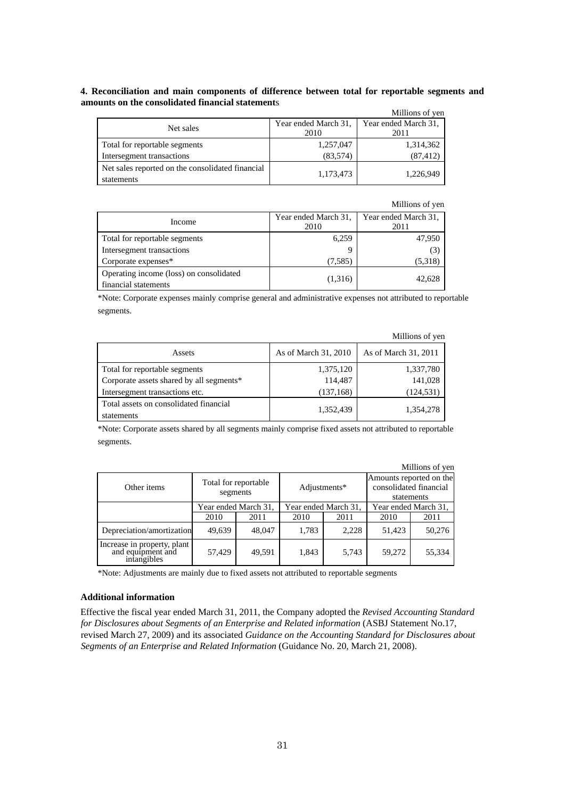# **4. Reconciliation and main components of difference between total for reportable segments and amounts on the consolidated financial statement**s

|                                                  |                      | Millions of yen      |
|--------------------------------------------------|----------------------|----------------------|
|                                                  | Year ended March 31, | Year ended March 31, |
| Net sales                                        | 2010                 | 2011                 |
| Total for reportable segments                    | 1,257,047            | 1,314,362            |
| Intersegment transactions                        | (83, 574)            | (87, 412)            |
| Net sales reported on the consolidated financial | 1,173,473            | 1,226,949            |
| statements                                       |                      |                      |

|                                                                 |                              | Millions of yen              |
|-----------------------------------------------------------------|------------------------------|------------------------------|
| Income                                                          | Year ended March 31,<br>2010 | Year ended March 31,<br>2011 |
| Total for reportable segments                                   | 6,259                        | 47,950                       |
| Intersegment transactions                                       |                              | (3)                          |
| Corporate expenses*                                             | (7,585)                      | (5,318)                      |
| Operating income (loss) on consolidated<br>financial statements | (1,316)                      | 42.628                       |

\*Note: Corporate expenses mainly comprise general and administrative expenses not attributed to reportable segments.

|                                                      |                      | Millions of yen      |
|------------------------------------------------------|----------------------|----------------------|
| Assets                                               | As of March 31, 2010 | As of March 31, 2011 |
| Total for reportable segments                        | 1,375,120            | 1,337,780            |
| Corporate assets shared by all segments*             | 114,487              | 141,028              |
| Intersegment transactions etc.                       | (137, 168)           | (124, 531)           |
| Total assets on consolidated financial<br>statements | 1,352,439            | 1,354,278            |

\*Note: Corporate assets shared by all segments mainly comprise fixed assets not attributed to reportable segments.

|                                                                 |                                  |        |                      |       |                                                                 | Millions of yen |
|-----------------------------------------------------------------|----------------------------------|--------|----------------------|-------|-----------------------------------------------------------------|-----------------|
| Other items                                                     | Total for reportable<br>segments |        | Adjustments*         |       | Amounts reported on the<br>consolidated financial<br>statements |                 |
|                                                                 | Year ended March 31,             |        | Year ended March 31, |       | Year ended March 31,                                            |                 |
|                                                                 | 2010                             | 2011   | 2010                 | 2011  | 2010                                                            | 2011            |
| Depreciation/amortization                                       | 49,639                           | 48,047 | 1,783                | 2,228 | 51,423                                                          | 50,276          |
| Increase in property, plant<br>and equipment and<br>intangibles | 57,429                           | 49,591 | 1,843                | 5,743 | 59,272                                                          | 55,334          |

\*Note: Adjustments are mainly due to fixed assets not attributed to reportable segments

# **Additional information**

Effective the fiscal year ended March 31, 2011, the Company adopted the *Revised Accounting Standard for Disclosures about Segments of an Enterprise and Related information* (ASBJ Statement No.17, revised March 27, 2009) and its associated *Guidance on the Accounting Standard for Disclosures about Segments of an Enterprise and Related Information* (Guidance No. 20, March 21, 2008).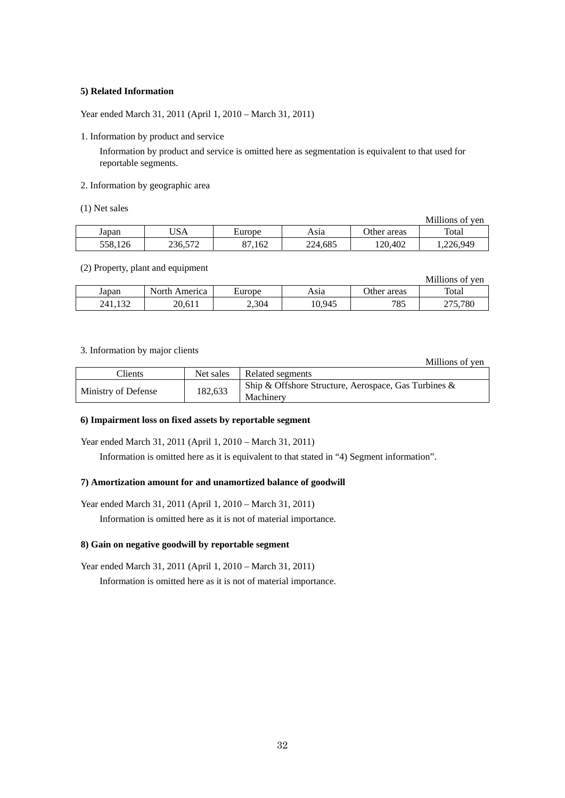# **5) Related Information**

Year ended March 31, 2011 (April 1, 2010 – March 31, 2011)

1. Information by product and service

Information by product and service is omitted here as segmentation is equivalent to that used for reportable segments.

# 2. Information by geographic area

(1) Net sales

|         |         |        |         |             | Millions of ven |
|---------|---------|--------|---------|-------------|-----------------|
| Japan   | USA     | Europe | Asıa    | Other areas | Total           |
| 558,126 | 236,572 | 1.162  | 224.685 | 120.402     | ,226,949        |

#### (2) Property, plant and equipment

|         |               |        |        |             | Millions of ven              |
|---------|---------------|--------|--------|-------------|------------------------------|
| Japan   | North America | Europe | Asıa   | Other areas | Total                        |
| 241.132 | 20.611        | 2,304  | 10,945 | 785         | 275.780<br>$\angle$ l $J, I$ |

# 3. Information by major clients

Millions of yen

| Clients             | Net sales | Related segments                                                     |
|---------------------|-----------|----------------------------------------------------------------------|
| Ministry of Defense | 182,633   | Ship & Offshore Structure, Aerospace, Gas Turbines $\&$<br>Machinery |

## **6) Impairment loss on fixed assets by reportable segment**

Year ended March 31, 2011 (April 1, 2010 – March 31, 2011)

Information is omitted here as it is equivalent to that stated in "4) Segment information".

#### **7) Amortization amount for and unamortized balance of goodwill**

Year ended March 31, 2011 (April 1, 2010 – March 31, 2011)

Information is omitted here as it is not of material importance.

# **8) Gain on negative goodwill by reportable segment**

Year ended March 31, 2011 (April 1, 2010 – March 31, 2011) Information is omitted here as it is not of material importance.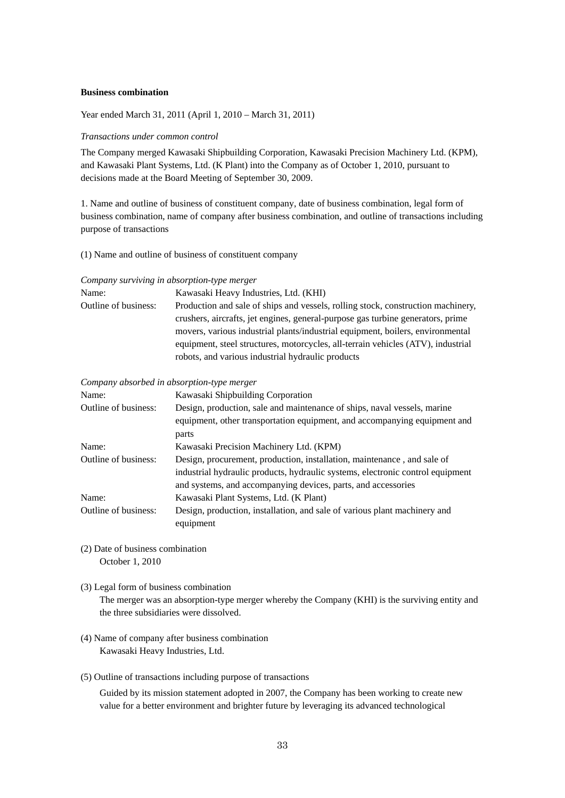### **Business combination**

Year ended March 31, 2011 (April 1, 2010 – March 31, 2011)

### *Transactions under common control*

The Company merged Kawasaki Shipbuilding Corporation, Kawasaki Precision Machinery Ltd. (KPM), and Kawasaki Plant Systems, Ltd. (K Plant) into the Company as of October 1, 2010, pursuant to decisions made at the Board Meeting of September 30, 2009.

1. Name and outline of business of constituent company, date of business combination, legal form of business combination, name of company after business combination, and outline of transactions including purpose of transactions

#### (1) Name and outline of business of constituent company

#### *Company surviving in absorption-type merger*

| Name:                | Kawasaki Heavy Industries, Ltd. (KHI)                                            |
|----------------------|----------------------------------------------------------------------------------|
| Outline of business: | Production and sale of ships and vessels, rolling stock, construction machinery, |
|                      | crushers, aircrafts, jet engines, general-purpose gas turbine generators, prime  |
|                      | movers, various industrial plants/industrial equipment, boilers, environmental   |
|                      | equipment, steel structures, motorcycles, all-terrain vehicles (ATV), industrial |
|                      | robots, and various industrial hydraulic products                                |

#### *Company absorbed in absorption-type merger*

| Name:                | Kawasaki Shipbuilding Corporation                                              |
|----------------------|--------------------------------------------------------------------------------|
| Outline of business: | Design, production, sale and maintenance of ships, naval vessels, marine       |
|                      | equipment, other transportation equipment, and accompanying equipment and      |
|                      | parts                                                                          |
| Name:                | Kawasaki Precision Machinery Ltd. (KPM)                                        |
| Outline of business: | Design, procurement, production, installation, maintenance, and sale of        |
|                      | industrial hydraulic products, hydraulic systems, electronic control equipment |
|                      | and systems, and accompanying devices, parts, and accessories                  |
| Name:                | Kawasaki Plant Systems, Ltd. (K Plant)                                         |
| Outline of business: | Design, production, installation, and sale of various plant machinery and      |
|                      | equipment                                                                      |
|                      |                                                                                |

- (2) Date of business combination October 1, 2010
- (3) Legal form of business combination

The merger was an absorption-type merger whereby the Company (KHI) is the surviving entity and the three subsidiaries were dissolved.

- (4) Name of company after business combination Kawasaki Heavy Industries, Ltd.
- (5) Outline of transactions including purpose of transactions

Guided by its mission statement adopted in 2007, the Company has been working to create new value for a better environment and brighter future by leveraging its advanced technological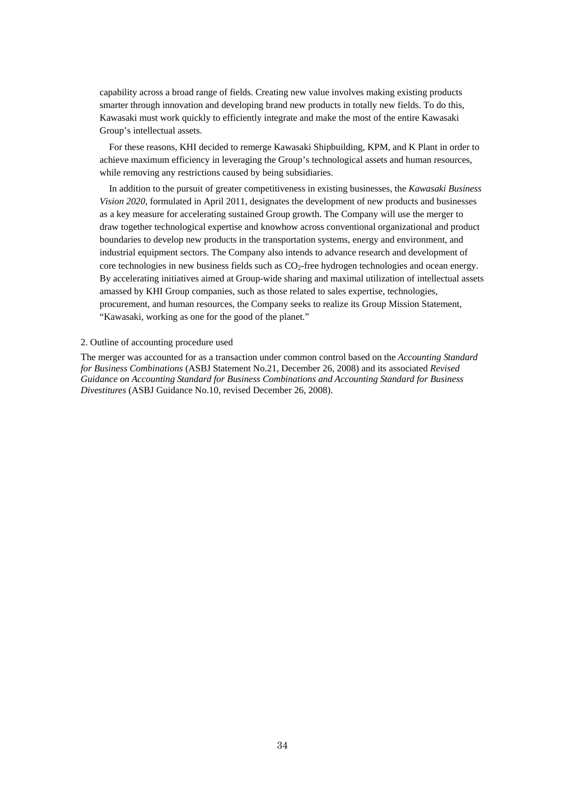capability across a broad range of fields. Creating new value involves making existing products smarter through innovation and developing brand new products in totally new fields. To do this, Kawasaki must work quickly to efficiently integrate and make the most of the entire Kawasaki Group's intellectual assets.

For these reasons, KHI decided to remerge Kawasaki Shipbuilding, KPM, and K Plant in order to achieve maximum efficiency in leveraging the Group's technological assets and human resources, while removing any restrictions caused by being subsidiaries.

In addition to the pursuit of greater competitiveness in existing businesses, the *Kawasaki Business Vision 2020*, formulated in April 2011, designates the development of new products and businesses as a key measure for accelerating sustained Group growth. The Company will use the merger to draw together technological expertise and knowhow across conventional organizational and product boundaries to develop new products in the transportation systems, energy and environment, and industrial equipment sectors. The Company also intends to advance research and development of core technologies in new business fields such as CO<sub>2</sub>-free hydrogen technologies and ocean energy. By accelerating initiatives aimed at Group-wide sharing and maximal utilization of intellectual assets amassed by KHI Group companies, such as those related to sales expertise, technologies, procurement, and human resources, the Company seeks to realize its Group Mission Statement, "Kawasaki, working as one for the good of the planet."

#### 2. Outline of accounting procedure used

The merger was accounted for as a transaction under common control based on the *Accounting Standard for Business Combinations* (ASBJ Statement No.21, December 26, 2008) and its associated *Revised Guidance on Accounting Standard for Business Combinations and Accounting Standard for Business Divestitures* (ASBJ Guidance No.10, revised December 26, 2008).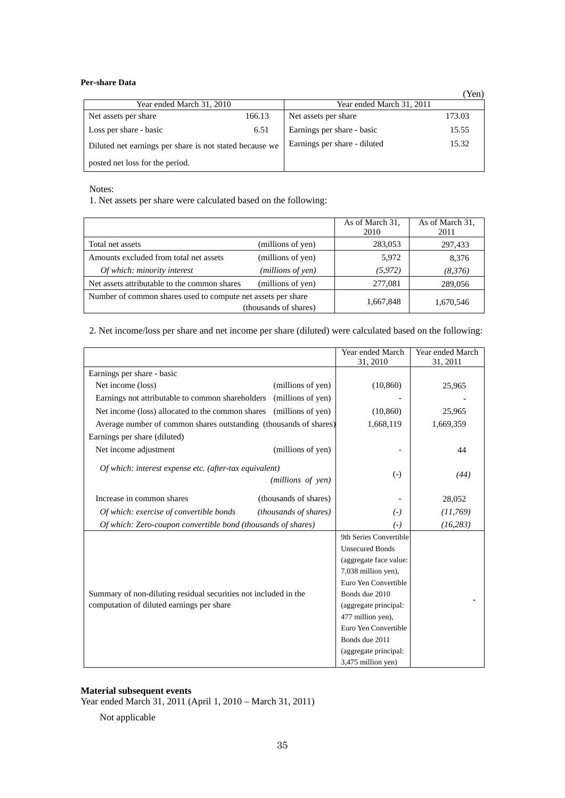**Per-share Data** 

|                                                         |        |                              | (Yen)  |  |
|---------------------------------------------------------|--------|------------------------------|--------|--|
| Year ended March 31, 2010                               |        | Year ended March 31, 2011    |        |  |
| Net assets per share                                    | 166.13 | Net assets per share         | 173.03 |  |
| Loss per share - basic                                  | 6.51   | Earnings per share - basic   | 15.55  |  |
| Diluted net earnings per share is not stated because we |        | Earnings per share - diluted | 15.32  |  |
| posted net loss for the period.                         |        |                              |        |  |

Notes:

1. Net assets per share were calculated based on the following:

|                                                              |                       | As of March 31,<br>2010 | As of March 31,<br>2011 |
|--------------------------------------------------------------|-----------------------|-------------------------|-------------------------|
| Total net assets                                             | (millions of yen)     | 283,053                 | 297,433                 |
| Amounts excluded from total net assets                       | (millions of yen)     | 5.972                   | 8,376                   |
| Of which: minority interest                                  | (millions of yen)     | (5, 972)                | (8,376)                 |
| Net assets attributable to the common shares                 | (millions of yen)     | 277,081                 | 289,056                 |
| Number of common shares used to compute net assets per share | (thousands of shares) | 1,667,848               | 1,670,546               |

2. Net income/loss per share and net income per share (diluted) were calculated based on the following:

|                                                                    |                              | Year ended March       | Year ended March |
|--------------------------------------------------------------------|------------------------------|------------------------|------------------|
|                                                                    |                              | 31, 2010               | 31, 2011         |
| Earnings per share - basic                                         |                              |                        |                  |
| Net income (loss)                                                  | (millions of yen)            | (10, 860)              | 25,965           |
| Earnings not attributable to common shareholders (millions of yen) |                              |                        |                  |
| Net income (loss) allocated to the common shares (millions of yen) |                              | (10, 860)              | 25,965           |
| Average number of common shares outstanding (thousands of shares)  |                              | 1,668,119              | 1,669,359        |
| Earnings per share (diluted)                                       |                              |                        |                  |
| Net income adjustment                                              | (millions of yen)            |                        | 44               |
| Of which: interest expense etc. (after-tax equivalent)             |                              |                        |                  |
|                                                                    | (millions of yen)            | $(-)$                  | (44)             |
|                                                                    |                              |                        |                  |
| Increase in common shares                                          | (thousands of shares)        |                        | 28,052           |
| Of which: exercise of convertible bonds                            | <i>(thousands of shares)</i> | $(-)$                  | (11,769)         |
| Of which: Zero-coupon convertible bond (thousands of shares)       |                              | $(-)$                  | (16, 283)        |
|                                                                    |                              | 9th Series Convertible |                  |
|                                                                    |                              | <b>Unsecured Bonds</b> |                  |
|                                                                    |                              | (aggregate face value: |                  |
|                                                                    |                              | 7,038 million yen),    |                  |
|                                                                    |                              | Euro Yen Convertible   |                  |
| Summary of non-diluting residual securities not included in the    |                              | Bonds due 2010         |                  |
| computation of diluted earnings per share                          |                              | (aggregate principal:  |                  |
|                                                                    |                              | 477 million yen),      |                  |
|                                                                    |                              | Euro Yen Convertible   |                  |
|                                                                    |                              | Bonds due 2011         |                  |
|                                                                    |                              | (aggregate principal:  |                  |
|                                                                    |                              | 3,475 million yen)     |                  |

# **Material subsequent events**

Year ended March 31, 2011 (April 1, 2010 – March 31, 2011)

Not applicable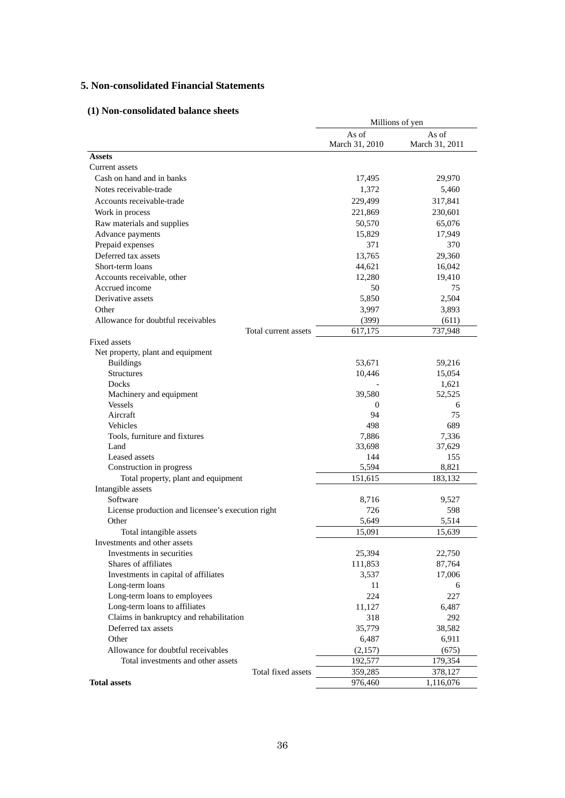# **5. Non-consolidated Financial Statements**

# **(1) Non-consolidated balance sheets**

|                                                   | Millions of yen         |                         |  |
|---------------------------------------------------|-------------------------|-------------------------|--|
|                                                   | As of<br>March 31, 2010 | As of<br>March 31, 2011 |  |
| <b>Assets</b>                                     |                         |                         |  |
| Current assets                                    |                         |                         |  |
| Cash on hand and in banks                         | 17,495                  | 29,970                  |  |
| Notes receivable-trade                            | 1,372                   | 5,460                   |  |
| Accounts receivable-trade                         | 229,499                 | 317,841                 |  |
| Work in process                                   | 221,869                 | 230,601                 |  |
| Raw materials and supplies                        | 50,570                  | 65,076                  |  |
| Advance payments                                  | 15,829                  | 17,949                  |  |
| Prepaid expenses                                  | 371                     | 370                     |  |
| Deferred tax assets                               | 13,765                  | 29,360                  |  |
| Short-term loans                                  | 44,621                  | 16,042                  |  |
| Accounts receivable, other                        | 12,280                  | 19,410                  |  |
| Accrued income                                    | 50                      | 75                      |  |
| Derivative assets                                 | 5,850                   | 2,504                   |  |
| Other                                             | 3,997                   | 3,893                   |  |
| Allowance for doubtful receivables                | (399)                   | (611)                   |  |
| Total current assets                              | 617,175                 | 737,948                 |  |
| Fixed assets                                      |                         |                         |  |
| Net property, plant and equipment                 |                         |                         |  |
| <b>Buildings</b>                                  | 53,671                  | 59,216                  |  |
| <b>Structures</b>                                 | 10,446                  | 15,054                  |  |
| Docks                                             |                         | 1,621                   |  |
| Machinery and equipment                           | 39,580                  | 52,525                  |  |
| <b>Vessels</b>                                    | $\theta$                | 6                       |  |
| Aircraft                                          | 94                      | 75                      |  |
| Vehicles                                          | 498                     | 689                     |  |
| Tools, furniture and fixtures                     | 7,886                   | 7,336                   |  |
| Land                                              | 33,698                  | 37,629                  |  |
| Leased assets                                     | 144                     | 155                     |  |
| Construction in progress                          | 5,594                   | 8,821                   |  |
| Total property, plant and equipment               | 151,615                 | 183,132                 |  |
| Intangible assets                                 |                         |                         |  |
| Software                                          | 8,716                   | 9,527                   |  |
| License production and licensee's execution right | 726                     | 598                     |  |
| Other                                             | 5,649                   | 5,514                   |  |
| Total intangible assets                           | 15,091                  | 15,639                  |  |
| Investments and other assets                      |                         |                         |  |
| Investments in securities                         | 25,394                  | 22,750                  |  |
| Shares of affiliates                              | 111,853                 | 87,764                  |  |
| Investments in capital of affiliates              | 3,537                   | 17,006                  |  |
| Long-term loans                                   | 11                      | 6                       |  |
| Long-term loans to employees                      | 224                     | 227                     |  |
| Long-term loans to affiliates                     | 11,127                  | 6,487                   |  |
| Claims in bankruptcy and rehabilitation           | 318                     | 292                     |  |
| Deferred tax assets                               | 35,779                  | 38,582                  |  |
| Other                                             | 6,487                   | 6,911                   |  |
| Allowance for doubtful receivables                | (2,157)                 | (675)                   |  |
| Total investments and other assets                | 192,577                 | 179,354                 |  |
| Total fixed assets                                | 359,285                 | 378,127                 |  |
| <b>Total assets</b>                               | 976,460                 | 1,116,076               |  |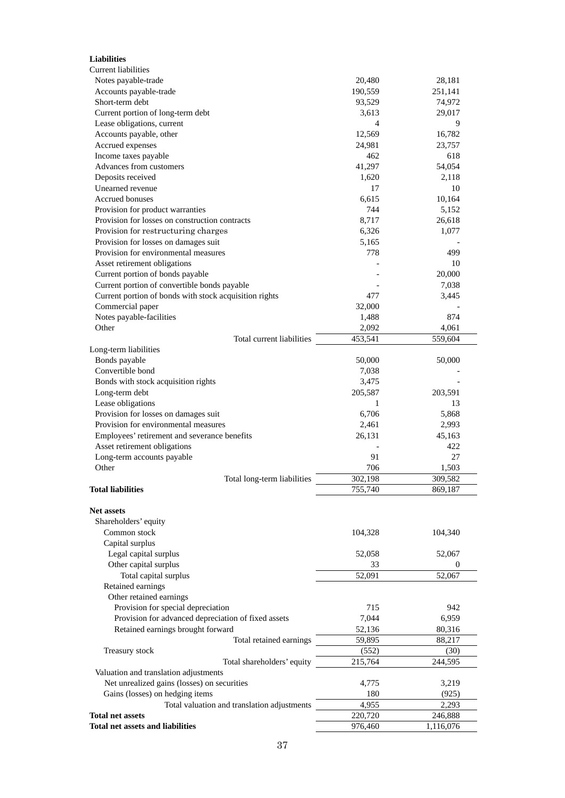| <b>Liabilities</b>                                                               |                  |                 |
|----------------------------------------------------------------------------------|------------------|-----------------|
| Current liabilities                                                              |                  |                 |
| Notes payable-trade                                                              | 20,480           | 28,181          |
| Accounts payable-trade                                                           | 190,559          | 251,141         |
| Short-term debt                                                                  | 93,529           | 74,972          |
| Current portion of long-term debt                                                | 3,613            | 29,017          |
| Lease obligations, current                                                       | $\overline{4}$   | 9               |
| Accounts payable, other                                                          | 12,569           | 16,782          |
| Accrued expenses                                                                 | 24,981           | 23,757          |
| Income taxes payable                                                             | 462              | 618             |
| Advances from customers                                                          | 41,297           | 54,054          |
| Deposits received                                                                | 1,620            | 2,118           |
| Unearned revenue                                                                 | 17               | 10              |
| <b>Accrued bonuses</b>                                                           | 6,615            | 10,164          |
| Provision for product warranties                                                 | 744              | 5,152           |
| Provision for losses on construction contracts                                   | 8,717            | 26,618          |
| Provision for restructuring charges                                              | 6,326            | 1,077           |
| Provision for losses on damages suit                                             | 5,165            |                 |
| Provision for environmental measures                                             | 778              | 499             |
| Asset retirement obligations                                                     |                  | 10              |
| Current portion of bonds payable<br>Current portion of convertible bonds payable |                  | 20,000<br>7,038 |
| Current portion of bonds with stock acquisition rights                           | 477              | 3,445           |
| Commercial paper                                                                 | 32,000           |                 |
| Notes payable-facilities                                                         | 1,488            | 874             |
| Other                                                                            | 2,092            | 4,061           |
| Total current liabilities                                                        | 453,541          | 559,604         |
| Long-term liabilities                                                            |                  |                 |
| Bonds payable                                                                    | 50,000           | 50,000          |
| Convertible bond                                                                 | 7,038            |                 |
| Bonds with stock acquisition rights                                              | 3,475            |                 |
| Long-term debt                                                                   | 205,587          | 203,591         |
| Lease obligations                                                                | 1                | 13              |
| Provision for losses on damages suit                                             | 6,706            | 5,868           |
| Provision for environmental measures                                             | 2,461            | 2,993           |
| Employees' retirement and severance benefits                                     | 26,131           | 45,163          |
| Asset retirement obligations                                                     |                  | 422             |
| Long-term accounts payable                                                       | 91               | 27              |
| Other                                                                            | 706              | 1,503           |
| Total long-term liabilities                                                      | 302,198          | 309,582         |
| <b>Total liabilities</b>                                                         | 755,740          | 869,187         |
|                                                                                  |                  |                 |
| <b>Net assets</b>                                                                |                  |                 |
| Shareholders' equity                                                             |                  |                 |
| Common stock                                                                     | 104,328          | 104,340         |
| Capital surplus                                                                  |                  |                 |
| Legal capital surplus                                                            | 52,058           | 52,067          |
| Other capital surplus                                                            | 33               | $\theta$        |
| Total capital surplus                                                            | 52,091           | 52,067          |
| Retained earnings                                                                |                  |                 |
| Other retained earnings                                                          |                  |                 |
| Provision for special depreciation                                               | 715              | 942             |
| Provision for advanced depreciation of fixed assets                              | 7,044            | 6,959           |
| Retained earnings brought forward                                                | 52,136           | 80,316          |
| Total retained earnings                                                          | 59,895           | 88,217          |
| Treasury stock                                                                   | (552)<br>215,764 | (30)<br>244,595 |
| Total shareholders' equity<br>Valuation and translation adjustments              |                  |                 |
| Net unrealized gains (losses) on securities                                      | 4,775            | 3,219           |
| Gains (losses) on hedging items                                                  | 180              | (925)           |
| Total valuation and translation adjustments                                      | 4,955            | 2,293           |
| <b>Total net assets</b>                                                          | 220,720          | 246,888         |
| <b>Total net assets and liabilities</b>                                          | 976,460          | 1,116,076       |
|                                                                                  |                  |                 |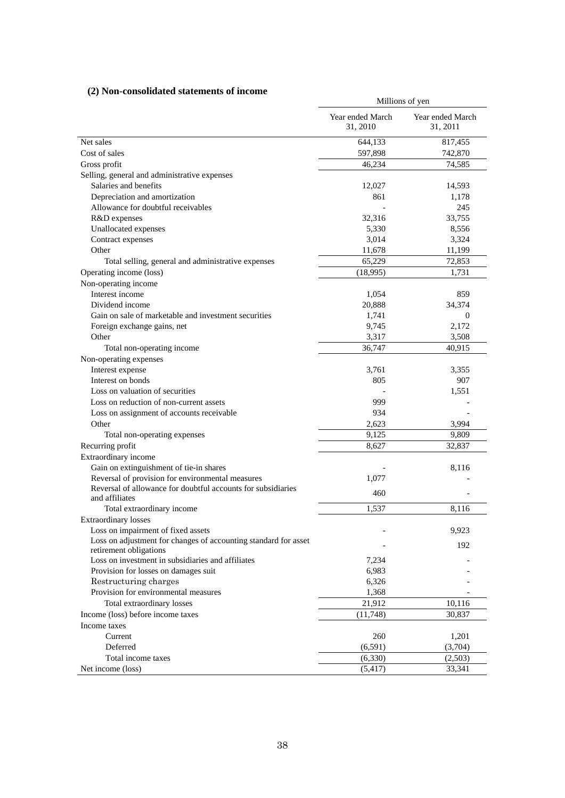# **(2) Non-consolidated statements of income**

| 27 A vil-consonuaticu statements of income                      | Millions of yen              |                              |  |
|-----------------------------------------------------------------|------------------------------|------------------------------|--|
|                                                                 | Year ended March<br>31, 2010 | Year ended March<br>31, 2011 |  |
| Net sales                                                       | 644,133                      | 817,455                      |  |
| Cost of sales                                                   | 597,898                      | 742,870                      |  |
| Gross profit                                                    | 46,234                       | 74,585                       |  |
| Selling, general and administrative expenses                    |                              |                              |  |
| Salaries and benefits                                           | 12,027                       | 14,593                       |  |
| Depreciation and amortization                                   | 861                          | 1,178                        |  |
| Allowance for doubtful receivables                              |                              | 245                          |  |
| R&D expenses                                                    | 32,316                       | 33,755                       |  |
| Unallocated expenses                                            | 5,330                        | 8,556                        |  |
| Contract expenses                                               | 3,014                        | 3,324                        |  |
| Other                                                           | 11,678                       | 11,199                       |  |
| Total selling, general and administrative expenses              | 65,229                       | 72,853                       |  |
| Operating income (loss)                                         | (18,995)                     | 1,731                        |  |
| Non-operating income                                            |                              |                              |  |
| Interest income                                                 | 1,054                        | 859                          |  |
| Dividend income                                                 | 20,888                       | 34,374                       |  |
| Gain on sale of marketable and investment securities            | 1,741                        | $\overline{0}$               |  |
| Foreign exchange gains, net                                     | 9,745                        | 2,172                        |  |
| Other                                                           | 3,317                        | 3,508                        |  |
| Total non-operating income                                      | 36,747                       | 40,915                       |  |
| Non-operating expenses                                          |                              |                              |  |
| Interest expense                                                | 3,761                        | 3,355                        |  |
| Interest on bonds                                               | 805                          | 907                          |  |
| Loss on valuation of securities                                 |                              | 1,551                        |  |
| Loss on reduction of non-current assets                         | 999                          |                              |  |
| Loss on assignment of accounts receivable                       | 934                          |                              |  |
| Other                                                           | 2,623                        | 3,994                        |  |
| Total non-operating expenses                                    | 9,125                        | 9,809                        |  |
| Recurring profit                                                | 8,627                        | 32,837                       |  |
| Extraordinary income                                            |                              |                              |  |
| Gain on extinguishment of tie-in shares                         |                              | 8,116                        |  |
| Reversal of provision for environmental measures                | 1.077                        |                              |  |
| Reversal of allowance for doubtful accounts for subsidiaries    |                              |                              |  |
| and affiliates                                                  | 460                          |                              |  |
| Total extraordinary income                                      | 1,537                        | 8,116                        |  |
| <b>Extraordinary losses</b>                                     |                              |                              |  |
| Loss on impairment of fixed assets                              |                              | 9,923                        |  |
| Loss on adjustment for changes of accounting standard for asset |                              | 192                          |  |
| retirement obligations                                          |                              |                              |  |
| Loss on investment in subsidiaries and affiliates               | 7,234                        |                              |  |
| Provision for losses on damages suit                            | 6,983                        |                              |  |
| Restructuring charges                                           | 6,326                        |                              |  |
| Provision for environmental measures                            | 1,368                        |                              |  |
| Total extraordinary losses                                      | 21,912                       | 10,116                       |  |
| Income (loss) before income taxes                               | (11,748)                     | 30,837                       |  |
| Income taxes                                                    |                              |                              |  |
| Current                                                         | 260                          | 1,201                        |  |
| Deferred                                                        | (6,591)                      | (3,704)                      |  |
| Total income taxes                                              | (6,330)                      | (2,503)                      |  |
| Net income (loss)                                               | (5,417)                      | 33,341                       |  |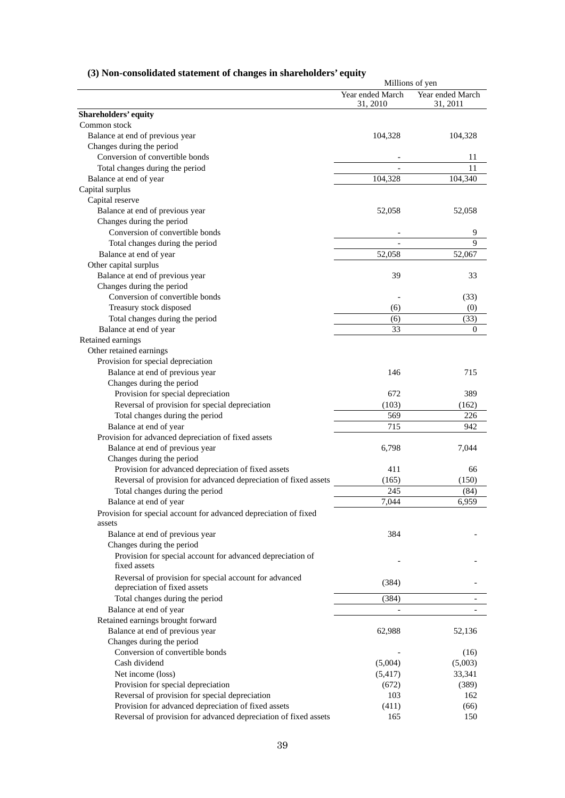| (3) Non-consolidated statement of changes in shareholders' equity |  |  |
|-------------------------------------------------------------------|--|--|
|                                                                   |  |  |

|                                                                                        | Millions of yen              |                              |
|----------------------------------------------------------------------------------------|------------------------------|------------------------------|
|                                                                                        | Year ended March<br>31, 2010 | Year ended March<br>31, 2011 |
| Shareholders' equity                                                                   |                              |                              |
| Common stock                                                                           |                              |                              |
| Balance at end of previous year                                                        | 104,328                      | 104,328                      |
| Changes during the period                                                              |                              |                              |
| Conversion of convertible bonds                                                        |                              | 11                           |
| Total changes during the period                                                        | $\overline{a}$               | 11                           |
| Balance at end of year                                                                 | 104,328                      | 104,340                      |
| Capital surplus                                                                        |                              |                              |
| Capital reserve                                                                        |                              |                              |
| Balance at end of previous year                                                        | 52,058                       | 52,058                       |
| Changes during the period                                                              |                              |                              |
| Conversion of convertible bonds                                                        |                              | 9                            |
| Total changes during the period                                                        |                              | 9                            |
| Balance at end of year                                                                 | 52,058                       | 52,067                       |
| Other capital surplus                                                                  |                              |                              |
| Balance at end of previous year                                                        | 39                           | 33                           |
| Changes during the period                                                              |                              |                              |
| Conversion of convertible bonds                                                        |                              | (33)                         |
| Treasury stock disposed                                                                | (6)                          | (0)                          |
| Total changes during the period                                                        | (6)                          | (33)                         |
| Balance at end of year                                                                 | 33                           | $\overline{0}$               |
| Retained earnings                                                                      |                              |                              |
| Other retained earnings                                                                |                              |                              |
| Provision for special depreciation                                                     |                              |                              |
| Balance at end of previous year                                                        | 146                          | 715                          |
| Changes during the period                                                              |                              |                              |
| Provision for special depreciation                                                     | 672                          | 389                          |
| Reversal of provision for special depreciation                                         | (103)                        | (162)                        |
| Total changes during the period                                                        | 569                          | 226                          |
| Balance at end of year                                                                 | 715                          | 942                          |
| Provision for advanced depreciation of fixed assets                                    |                              |                              |
| Balance at end of previous year                                                        | 6,798                        | 7,044                        |
| Changes during the period                                                              |                              |                              |
| Provision for advanced depreciation of fixed assets                                    | 411                          | 66                           |
| Reversal of provision for advanced depreciation of fixed assets                        | (165)                        | (150)                        |
| Total changes during the period                                                        | 245                          | (84)                         |
| Balance at end of year                                                                 | 7,044                        | 6,959                        |
| Provision for special account for advanced depreciation of fixed                       |                              |                              |
| assets                                                                                 |                              |                              |
| Balance at end of previous year                                                        | 384                          |                              |
| Changes during the period                                                              |                              |                              |
| Provision for special account for advanced depreciation of                             |                              |                              |
| fixed assets                                                                           |                              |                              |
| Reversal of provision for special account for advanced<br>depreciation of fixed assets | (384)                        |                              |
| Total changes during the period                                                        | (384)                        |                              |
| Balance at end of year                                                                 | $\qquad \qquad \blacksquare$ |                              |
| Retained earnings brought forward                                                      |                              |                              |
| Balance at end of previous year                                                        | 62,988                       | 52,136                       |
| Changes during the period                                                              |                              |                              |
| Conversion of convertible bonds                                                        |                              | (16)                         |
| Cash dividend                                                                          | (5,004)                      | (5,003)                      |
| Net income (loss)                                                                      | (5, 417)                     | 33,341                       |
| Provision for special depreciation                                                     | (672)                        | (389)                        |
| Reversal of provision for special depreciation                                         | 103                          | 162                          |
| Provision for advanced depreciation of fixed assets                                    | (411)                        | (66)                         |
| Reversal of provision for advanced depreciation of fixed assets                        | 165                          | 150                          |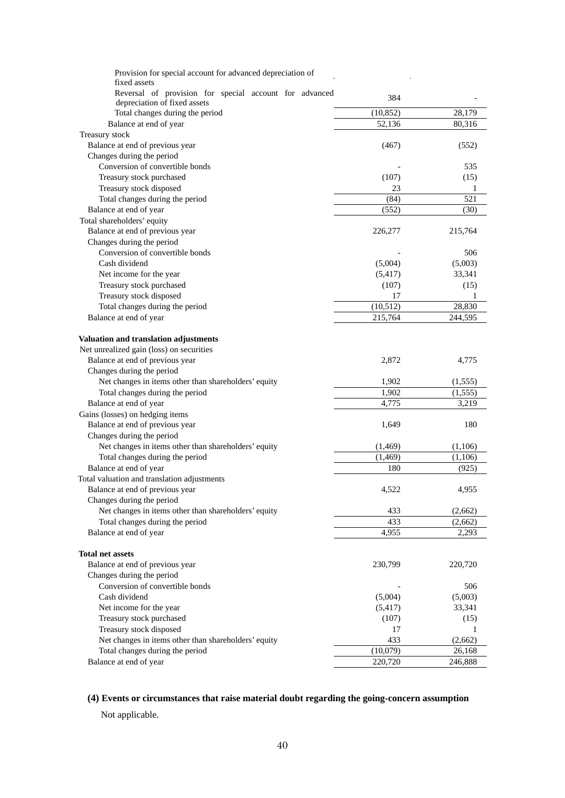| Provision for special account for advanced depreciation of<br>fixed assets |           |          |
|----------------------------------------------------------------------------|-----------|----------|
| Reversal of provision for special account for advanced                     |           |          |
| depreciation of fixed assets                                               | 384       |          |
| Total changes during the period                                            | (10, 852) | 28,179   |
| Balance at end of year                                                     | 52,136    | 80,316   |
| Treasury stock                                                             |           |          |
| Balance at end of previous year                                            | (467)     | (552)    |
| Changes during the period                                                  |           |          |
| Conversion of convertible bonds                                            |           | 535      |
| Treasury stock purchased                                                   | (107)     | (15)     |
| Treasury stock disposed                                                    | 23        | 1        |
| Total changes during the period                                            | (84)      | 521      |
| Balance at end of year                                                     | (552)     | (30)     |
| Total shareholders' equity                                                 |           |          |
| Balance at end of previous year                                            | 226,277   | 215,764  |
| Changes during the period                                                  |           |          |
| Conversion of convertible bonds                                            |           | 506      |
| Cash dividend                                                              | (5,004)   | (5,003)  |
| Net income for the year                                                    | (5, 417)  | 33,341   |
| Treasury stock purchased                                                   | (107)     | (15)     |
| Treasury stock disposed                                                    | 17        | 1        |
| Total changes during the period                                            | (10,512)  | 28,830   |
| Balance at end of year                                                     | 215,764   | 244,595  |
|                                                                            |           |          |
| Valuation and translation adjustments                                      |           |          |
| Net unrealized gain (loss) on securities                                   |           |          |
| Balance at end of previous year                                            | 2,872     | 4,775    |
| Changes during the period                                                  |           |          |
| Net changes in items other than shareholders' equity                       | 1,902     | (1, 555) |
| Total changes during the period                                            | 1,902     | (1, 555) |
| Balance at end of year                                                     | 4,775     | 3,219    |
| Gains (losses) on hedging items                                            |           |          |
| Balance at end of previous year                                            | 1,649     | 180      |
| Changes during the period                                                  |           |          |
| Net changes in items other than shareholders' equity                       | (1,469)   | (1,106)  |
| Total changes during the period                                            | (1, 469)  | (1,106)  |
| Balance at end of year                                                     | 180       | (925)    |
| Total valuation and translation adjustments                                |           |          |
| Balance at end of previous year                                            | 4,522     | 4,955    |
| Changes during the period                                                  |           |          |
| Net changes in items other than shareholders' equity                       | 433       | (2,662)  |
| Total changes during the period                                            | 433       | (2,662)  |
| Balance at end of year                                                     | 4,955     | 2,293    |
|                                                                            |           |          |
| <b>Total net assets</b>                                                    |           |          |
| Balance at end of previous year                                            | 230,799   | 220,720  |
| Changes during the period                                                  |           |          |
| Conversion of convertible bonds                                            |           | 506      |
| Cash dividend                                                              | (5,004)   | (5,003)  |
| Net income for the year                                                    | (5, 417)  | 33,341   |
| Treasury stock purchased                                                   | (107)     | (15)     |
| Treasury stock disposed                                                    | 17        | 1        |
| Net changes in items other than shareholders' equity                       | 433       | (2,662)  |
| Total changes during the period                                            | (10,079)  | 26,168   |
| Balance at end of year                                                     | 220,720   | 246,888  |

# **(4) Events or circumstances that raise material doubt regarding the going-concern assumption**

Not applicable.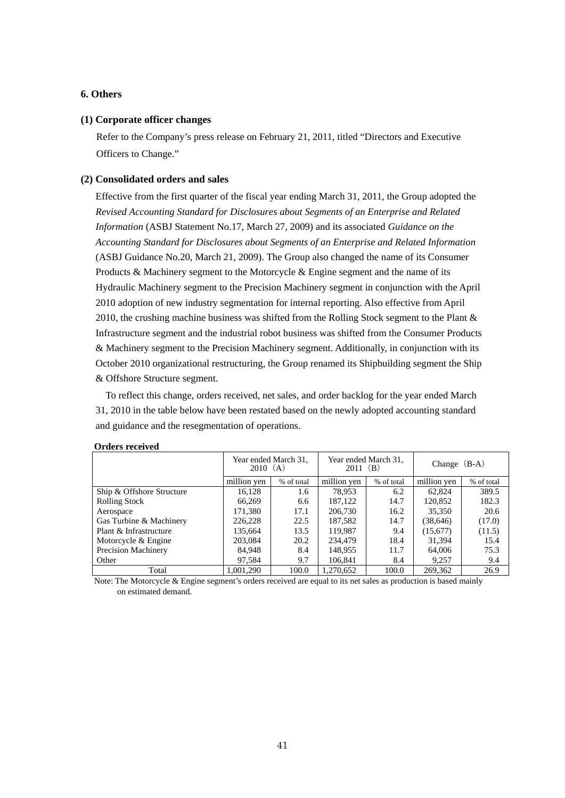# **6. Others**

### **(1) Corporate officer changes**

Refer to the Company's press release on February 21, 2011, titled "Directors and Executive Officers to Change."

# **(2) Consolidated orders and sales**

Effective from the first quarter of the fiscal year ending March 31, 2011, the Group adopted the *Revised Accounting Standard for Disclosures about Segments of an Enterprise and Related Information* (ASBJ Statement No.17, March 27, 2009) and its associated *Guidance on the Accounting Standard for Disclosures about Segments of an Enterprise and Related Information* (ASBJ Guidance No.20, March 21, 2009). The Group also changed the name of its Consumer Products & Machinery segment to the Motorcycle & Engine segment and the name of its Hydraulic Machinery segment to the Precision Machinery segment in conjunction with the April 2010 adoption of new industry segmentation for internal reporting. Also effective from April 2010, the crushing machine business was shifted from the Rolling Stock segment to the Plant  $\&$ Infrastructure segment and the industrial robot business was shifted from the Consumer Products & Machinery segment to the Precision Machinery segment. Additionally, in conjunction with its October 2010 organizational restructuring, the Group renamed its Shipbuilding segment the Ship & Offshore Structure segment.

To reflect this change, orders received, net sales, and order backlog for the year ended March 31, 2010 in the table below have been restated based on the newly adopted accounting standard and guidance and the resegmentation of operations.

|                            | Year ended March 31,<br>2010(A) |            | Year ended March 31,<br>$2011$ (B) |            | Change $(B-A)$ |            |
|----------------------------|---------------------------------|------------|------------------------------------|------------|----------------|------------|
|                            | million yen                     | % of total | million yen                        | % of total | million yen    | % of total |
| Ship & Offshore Structure  | 16,128                          | 1.6        | 78,953                             | 6.2        | 62,824         | 389.5      |
| <b>Rolling Stock</b>       | 66,269                          | 6.6        | 187,122                            | 14.7       | 120,852        | 182.3      |
| Aerospace                  | 171,380                         | 17.1       | 206,730                            | 16.2       | 35,350         | 20.6       |
| Gas Turbine & Machinery    | 226,228                         | 22.5       | 187,582                            | 14.7       | (38, 646)      | (17.0)     |
| Plant & Infrastructure     | 135,664                         | 13.5       | 119.987                            | 9.4        | (15,677)       | (11.5)     |
| Motorcycle & Engine        | 203,084                         | 20.2       | 234,479                            | 18.4       | 31,394         | 15.4       |
| <b>Precision Machinery</b> | 84,948                          | 8.4        | 148.955                            | 11.7       | 64,006         | 75.3       |
| Other                      | 97.584                          | 9.7        | 106,841                            | 8.4        | 9.257          | 9.4        |
| Total                      | 1,001,290                       | 100.0      | 1.270.652                          | 100.0      | 269,362        | 26.9       |

#### **Orders received**

Note: The Motorcycle & Engine segment's orders received are equal to its net sales as production is based mainly on estimated demand.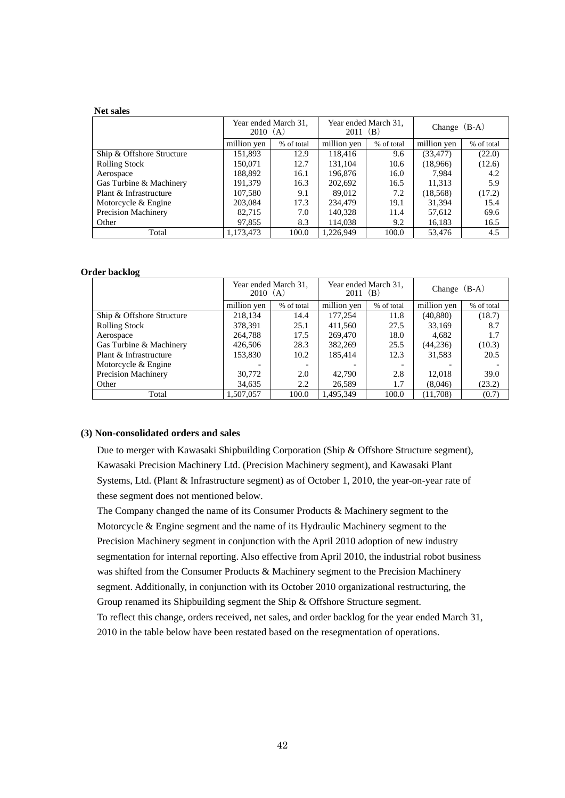#### **Net sales**

|                            | Year ended March 31.<br>2010(A) |            |             | Year ended March 31,<br>2011 (B) |             | Change $(B-A)$ |  |
|----------------------------|---------------------------------|------------|-------------|----------------------------------|-------------|----------------|--|
|                            | million yen                     | % of total | million yen | % of total                       | million yen | % of total     |  |
| Ship & Offshore Structure  | 151,893                         | 12.9       | 118.416     | 9.6                              | (33, 477)   | (22.0)         |  |
| <b>Rolling Stock</b>       | 150.071                         | 12.7       | 131,104     | 10.6                             | (18,966)    | (12.6)         |  |
| Aerospace                  | 188,892                         | 16.1       | 196,876     | 16.0                             | 7.984       | 4.2            |  |
| Gas Turbine & Machinery    | 191,379                         | 16.3       | 202,692     | 16.5                             | 11,313      | 5.9            |  |
| Plant & Infrastructure     | 107,580                         | 9.1        | 89,012      | 7.2                              | (18, 568)   | (17.2)         |  |
| Motorcycle & Engine        | 203,084                         | 17.3       | 234,479     | 19.1                             | 31.394      | 15.4           |  |
| <b>Precision Machinery</b> | 82,715                          | 7.0        | 140,328     | 11.4                             | 57,612      | 69.6           |  |
| Other                      | 97,855                          | 8.3        | 114,038     | 9.2                              | 16,183      | 16.5           |  |
| Total                      | 1,173,473                       | 100.0      | 1.226.949   | 100.0                            | 53.476      | 4.5            |  |

#### **Order backlog**

|                            |             | Year ended March 31,<br>2010(A) |             | Year ended March 31,<br>2011 (B) | Change $(B-A)$ |            |
|----------------------------|-------------|---------------------------------|-------------|----------------------------------|----------------|------------|
|                            | million yen | % of total                      | million yen | % of total                       | million ven    | % of total |
| Ship & Offshore Structure  | 218,134     | 14.4                            | 177.254     | 11.8                             | (40, 880)      | (18.7)     |
| <b>Rolling Stock</b>       | 378,391     | 25.1                            | 411,560     | 27.5                             | 33,169         | 8.7        |
| Aerospace                  | 264,788     | 17.5                            | 269,470     | 18.0                             | 4.682          | 1.7        |
| Gas Turbine & Machinery    | 426,506     | 28.3                            | 382,269     | 25.5                             | (44,236)       | (10.3)     |
| Plant & Infrastructure     | 153,830     | 10.2                            | 185,414     | 12.3                             | 31,583         | 20.5       |
| Motorcycle & Engine        |             |                                 |             |                                  |                |            |
| <b>Precision Machinery</b> | 30,772      | 2.0                             | 42,790      | 2.8                              | 12.018         | 39.0       |
| Other                      | 34,635      | 2.2                             | 26,589      | 1.7                              | (8,046)        | (23.2)     |
| Total                      | 1.507.057   | 100.0                           | 1.495.349   | 100.0                            | (11.708)       | (0.7)      |

## **(3) Non-consolidated orders and sales**

Due to merger with Kawasaki Shipbuilding Corporation (Ship & Offshore Structure segment), Kawasaki Precision Machinery Ltd. (Precision Machinery segment), and Kawasaki Plant Systems, Ltd. (Plant & Infrastructure segment) as of October 1, 2010, the year-on-year rate of these segment does not mentioned below.

The Company changed the name of its Consumer Products & Machinery segment to the Motorcycle & Engine segment and the name of its Hydraulic Machinery segment to the Precision Machinery segment in conjunction with the April 2010 adoption of new industry segmentation for internal reporting. Also effective from April 2010, the industrial robot business was shifted from the Consumer Products & Machinery segment to the Precision Machinery segment. Additionally, in conjunction with its October 2010 organizational restructuring, the Group renamed its Shipbuilding segment the Ship & Offshore Structure segment. To reflect this change, orders received, net sales, and order backlog for the year ended March 31, 2010 in the table below have been restated based on the resegmentation of operations.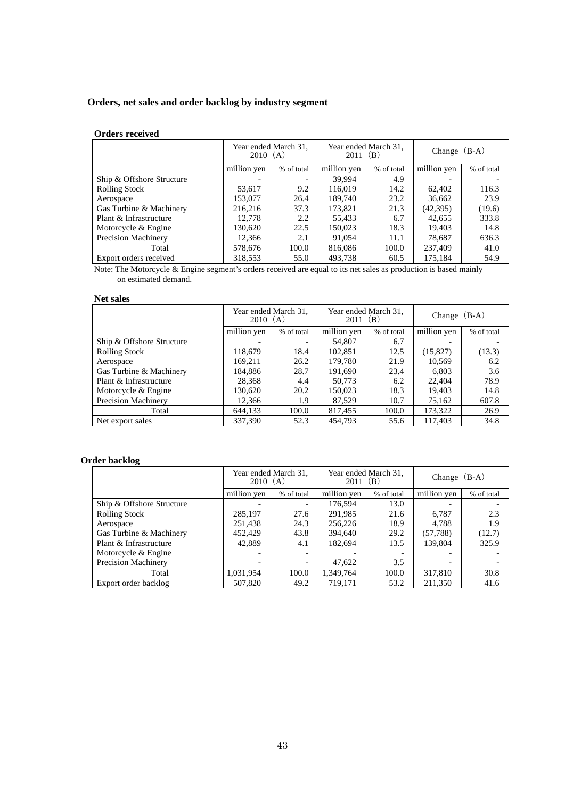# **Orders, net sales and order backlog by industry segment**

# **Orders received**

|                           | Year ended March 31,<br>2010(A) |                          | Year ended March 31,<br>2011 (B) |            | Change $(B-A)$ |            |
|---------------------------|---------------------------------|--------------------------|----------------------------------|------------|----------------|------------|
|                           | million yen                     | % of total               | million yen                      | % of total | million yen    | % of total |
| Ship & Offshore Structure |                                 | $\overline{\phantom{a}}$ | 39.994                           | 4.9        |                |            |
| <b>Rolling Stock</b>      | 53,617                          | 9.2                      | 116.019                          | 14.2       | 62,402         | 116.3      |
| Aerospace                 | 153,077                         | 26.4                     | 189.740                          | 23.2       | 36,662         | 23.9       |
| Gas Turbine & Machinery   | 216.216                         | 37.3                     | 173.821                          | 21.3       | (42,395)       | (19.6)     |
| Plant & Infrastructure    | 12,778                          | 2.2                      | 55,433                           | 6.7        | 42,655         | 333.8      |
| Motorcycle & Engine       | 130,620                         | 22.5                     | 150,023                          | 18.3       | 19.403         | 14.8       |
| Precision Machinery       | 12,366                          | 2.1                      | 91,054                           | 11.1       | 78,687         | 636.3      |
| Total                     | 578,676                         | 100.0                    | 816,086                          | 100.0      | 237,409        | 41.0       |
| Export orders received    | 318.553                         | 55.0                     | 493.738                          | 60.5       | 175.184        | 54.9       |

Note: The Motorcycle & Engine segment's orders received are equal to its net sales as production is based mainly on estimated demand.

# **Net sales**

|                            | Year ended March 31,<br>2010(A) |                          |             | Year ended March 31,<br>2011 (B) |             | Change $(B-A)$ |  |
|----------------------------|---------------------------------|--------------------------|-------------|----------------------------------|-------------|----------------|--|
|                            | million yen                     | % of total               | million yen | % of total                       | million yen | % of total     |  |
| Ship & Offshore Structure  |                                 | $\overline{\phantom{0}}$ | 54,807      | 6.7                              |             |                |  |
| <b>Rolling Stock</b>       | 118.679                         | 18.4                     | 102.851     | 12.5                             | (15,827)    | (13.3)         |  |
| Aerospace                  | 169,211                         | 26.2                     | 179,780     | 21.9                             | 10,569      | 6.2            |  |
| Gas Turbine & Machinery    | 184.886                         | 28.7                     | 191,690     | 23.4                             | 6.803       | 3.6            |  |
| Plant & Infrastructure     | 28,368                          | 4.4                      | 50,773      | 6.2                              | 22,404      | 78.9           |  |
| Motorcycle & Engine        | 130,620                         | 20.2                     | 150.023     | 18.3                             | 19.403      | 14.8           |  |
| <b>Precision Machinery</b> | 12,366                          | 1.9                      | 87,529      | 10.7                             | 75,162      | 607.8          |  |
| Total                      | 644,133                         | 100.0                    | 817,455     | 100.0                            | 173,322     | 26.9           |  |
| Net export sales           | 337,390                         | 52.3                     | 454,793     | 55.6                             | 117,403     | 34.8           |  |

# **Order backlog**

|                           | Year ended March 31,<br>2010(A) |                          | Year ended March 31,<br>$2011$ (B) |            | Change $(B-A)$           |            |
|---------------------------|---------------------------------|--------------------------|------------------------------------|------------|--------------------------|------------|
|                           | million yen                     | % of total               | million yen                        | % of total | million yen              | % of total |
| Ship & Offshore Structure |                                 |                          | 176.594                            | 13.0       |                          |            |
| <b>Rolling Stock</b>      | 285,197                         | 27.6                     | 291,985                            | 21.6       | 6.787                    | 2.3        |
| Aerospace                 | 251,438                         | 24.3                     | 256,226                            | 18.9       | 4.788                    | 1.9        |
| Gas Turbine & Machinery   | 452,429                         | 43.8                     | 394.640                            | 29.2       | (57, 788)                | (12.7)     |
| Plant & Infrastructure    | 42,889                          | 4.1                      | 182,694                            | 13.5       | 139,804                  | 325.9      |
| Motorcycle & Engine       |                                 | $\overline{\phantom{a}}$ |                                    |            | $\overline{\phantom{0}}$ |            |
| Precision Machinery       | $\overline{\phantom{a}}$        | $\overline{\phantom{a}}$ | 47,622                             | 3.5        | $\overline{\phantom{a}}$ |            |
| Total                     | 1.031.954                       | 100.0                    | 1.349.764                          | 100.0      | 317,810                  | 30.8       |
| Export order backlog      | 507,820                         | 49.2                     | 719,171                            | 53.2       | 211,350                  | 41.6       |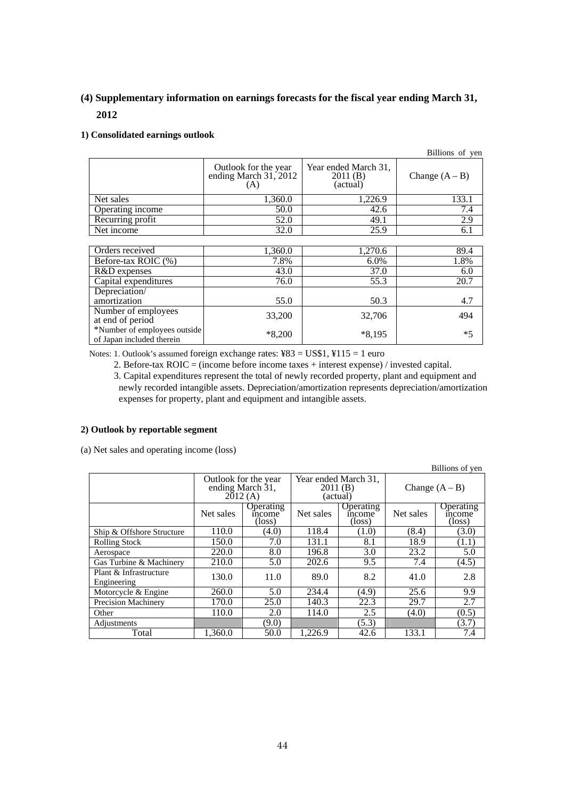# **(4) Supplementary information on earnings forecasts for the fiscal year ending March 31, 2012**

# **1) Consolidated earnings outlook**

|                                                           |                                                      |                                             | Billions of yen  |
|-----------------------------------------------------------|------------------------------------------------------|---------------------------------------------|------------------|
|                                                           | Outlook for the year<br>ending March 31, 2012<br>(A) | Year ended March 31,<br>2011(B)<br>(actual) | Change $(A - B)$ |
| Net sales                                                 | 1,360.0                                              | 1,226.9                                     | 133.1            |
| Operating income                                          | 50.0                                                 | 42.6                                        | 7.4              |
| Recurring profit                                          | 52.0                                                 | 49.1                                        | 2.9              |
| Net income                                                | 32.0                                                 | 25.9                                        | 6.1              |
|                                                           |                                                      |                                             |                  |
| Orders received                                           | 1,360.0                                              | 1,270.6                                     | 89.4             |
| Before-tax ROIC (%)                                       | 7.8%                                                 | 6.0%                                        | 1.8%             |
| R&D expenses                                              | 43.0                                                 | 37.0                                        | 6.0              |
| Capital expenditures                                      | 76.0                                                 | 55.3                                        | 20.7             |
| Depreciation/                                             |                                                      |                                             |                  |
| amortization                                              | 55.0                                                 | 50.3                                        | 4.7              |
| Number of employees<br>at end of period                   | 33,200                                               | 32,706                                      | 494              |
| *Number of employees outside<br>of Japan included therein | $*8,200$                                             | $*8,195$                                    | $*5$             |

Notes: 1. Outlook's assumed foreign exchange rates: ¥83 = US\$1, ¥115 = 1 euro

2. Before-tax ROIC = (income before income taxes + interest expense) / invested capital.

3. Capital expenditures represent the total of newly recorded property, plant and equipment and newly recorded intangible assets. Depreciation/amortization represents depreciation/amortization expenses for property, plant and equipment and intangible assets.

# **2) Outlook by reportable segment**

(a) Net sales and operating income (loss)

|                                       |                                                     |                                        |                                             |                                        |                  | Billions of yen               |
|---------------------------------------|-----------------------------------------------------|----------------------------------------|---------------------------------------------|----------------------------------------|------------------|-------------------------------|
|                                       | Outlook for the year<br>ending March 31,<br>2012(A) |                                        | Year ended March 31,<br>2011(B)<br>(actual) |                                        | Change $(A - B)$ |                               |
|                                       | Net sales                                           | Operating<br>income<br>$(\text{loss})$ | Net sales                                   | Operating<br>income<br>$(\text{loss})$ | Net sales        | Operating<br>income<br>(loss) |
| Ship & Offshore Structure             | 110.0                                               | (4.0)                                  | 118.4                                       | (1.0)                                  | (8.4)            | (3.0)                         |
| <b>Rolling Stock</b>                  | 150.0                                               | 7.0                                    | 131.1                                       | 8.1                                    | 18.9             | (1.1)                         |
| Aerospace                             | 220.0                                               | 8.0                                    | 196.8                                       | 3.0                                    | 23.2             | 5.0                           |
| Gas Turbine & Machinery               | 210.0                                               | 5.0                                    | 202.6                                       | 9.5                                    | 7.4              | (4.5)                         |
| Plant & Infrastructure<br>Engineering | 130.0                                               | 11.0                                   | 89.0                                        | 8.2                                    | 41.0             | 2.8                           |
| Motorcycle & Engine                   | 260.0                                               | 5.0                                    | 234.4                                       | (4.9)                                  | 25.6             | 9.9                           |
| <b>Precision Machinery</b>            | 170.0                                               | 25.0                                   | 140.3                                       | 22.3                                   | 29.7             | 2.7                           |
| Other                                 | 110.0                                               | 2.0                                    | 114.0                                       | 2.5                                    | (4.0)            | (0.5)                         |
| Adjustments                           |                                                     | (9.0)                                  |                                             | (5.3)                                  |                  | (3.7)                         |
| Total                                 | 1.360.0                                             | 50.0                                   | 1,226.9                                     | 42.6                                   | 133.1            | 7.4                           |

44